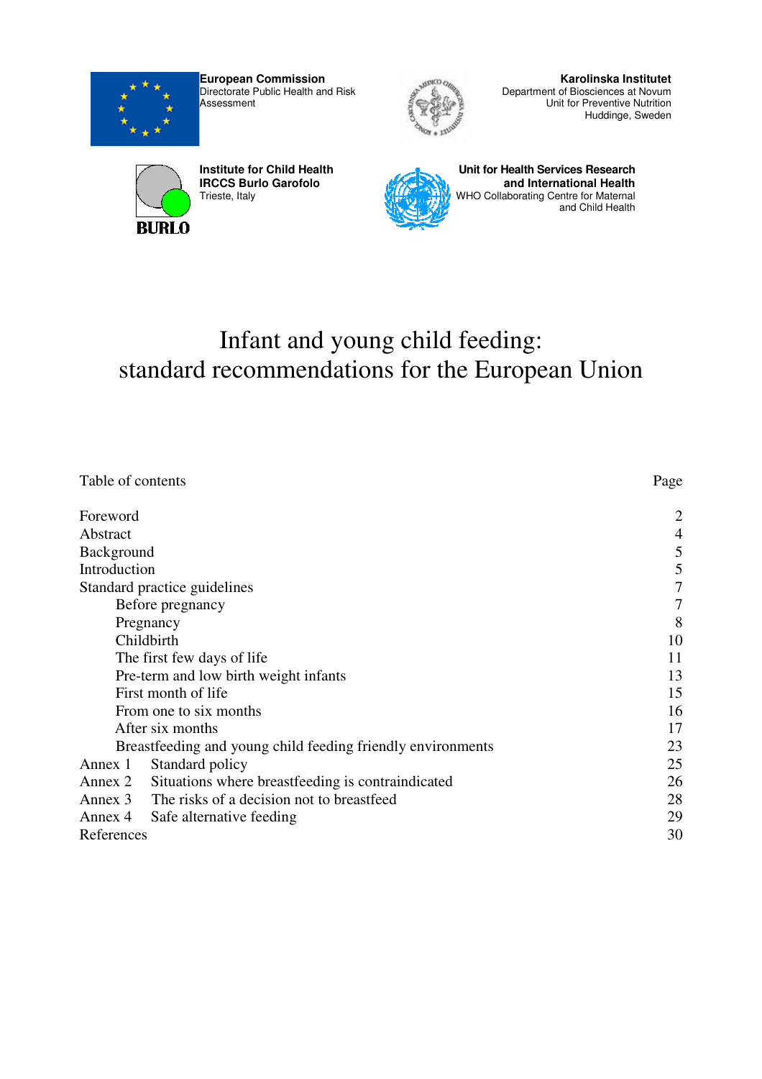

**European Commission**  Directorate Public Health and Risk **Assessment** 



**Karolinska Institutet** Department of Biosciences at Novum Unit for Preventive Nutrition Huddinge, Sweden



**Institute for Child Health IRCCS Burlo Garofolo**  Trieste, Italy



**Unit for Health Services Research and International Health** WHO Collaborating Centre for Maternal and Child Health

# Infant and young child feeding: standard recommendations for the European Union

| Table of contents                                            | Page           |
|--------------------------------------------------------------|----------------|
| Foreword                                                     | $\overline{2}$ |
| Abstract                                                     | 4              |
| Background                                                   | 5              |
| Introduction                                                 | 5              |
| Standard practice guidelines                                 | $\tau$         |
| Before pregnancy                                             | 7              |
| Pregnancy                                                    | 8              |
| Childbirth                                                   | 10             |
| The first few days of life                                   | 11             |
| Pre-term and low birth weight infants                        | 13             |
| First month of life                                          | 15             |
| From one to six months                                       | 16             |
| After six months                                             | 17             |
| Breastfeeding and young child feeding friendly environments  | 23             |
| Standard policy<br>Annex 1                                   | 25             |
| Situations where breastfeeding is contraindicated<br>Annex 2 | 26             |
| Annex 3 The risks of a decision not to breastfeed            | 28             |
| Annex 4 Safe alternative feeding                             | 29             |
| References                                                   | 30             |
|                                                              |                |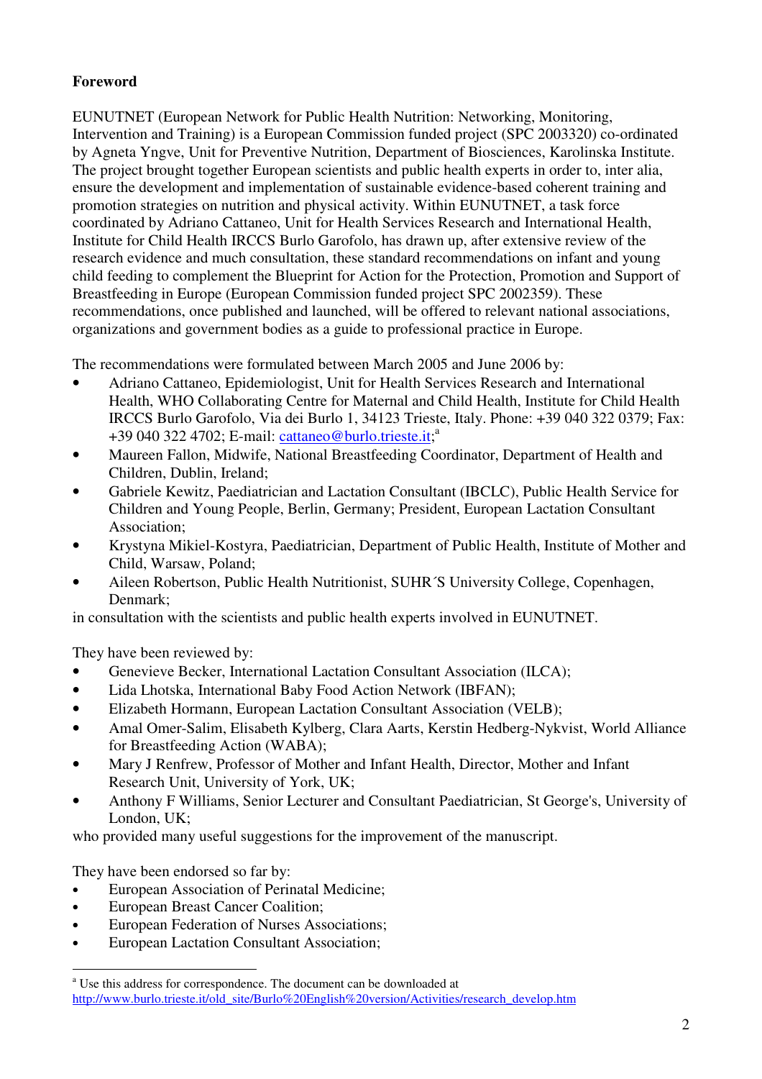## **Foreword**

EUNUTNET (European Network for Public Health Nutrition: Networking, Monitoring, Intervention and Training) is a European Commission funded project (SPC 2003320) co-ordinated by Agneta Yngve, Unit for Preventive Nutrition, Department of Biosciences, Karolinska Institute. The project brought together European scientists and public health experts in order to, inter alia, ensure the development and implementation of sustainable evidence-based coherent training and promotion strategies on nutrition and physical activity. Within EUNUTNET, a task force coordinated by Adriano Cattaneo, Unit for Health Services Research and International Health, Institute for Child Health IRCCS Burlo Garofolo, has drawn up, after extensive review of the research evidence and much consultation, these standard recommendations on infant and young child feeding to complement the Blueprint for Action for the Protection, Promotion and Support of Breastfeeding in Europe (European Commission funded project SPC 2002359). These recommendations, once published and launched, will be offered to relevant national associations, organizations and government bodies as a guide to professional practice in Europe.

The recommendations were formulated between March 2005 and June 2006 by:

- Adriano Cattaneo, Epidemiologist, Unit for Health Services Research and International Health, WHO Collaborating Centre for Maternal and Child Health, Institute for Child Health IRCCS Burlo Garofolo, Via dei Burlo 1, 34123 Trieste, Italy. Phone: +39 040 322 0379; Fax: +39 040 322 4702; E-mail: cattaneo@burlo.trieste.it;<sup>a</sup>
- Maureen Fallon, Midwife, National Breastfeeding Coordinator, Department of Health and Children, Dublin, Ireland;
- Gabriele Kewitz, Paediatrician and Lactation Consultant (IBCLC), Public Health Service for Children and Young People, Berlin, Germany; President, European Lactation Consultant Association;
- Krystyna Mikiel-Kostyra, Paediatrician, Department of Public Health, Institute of Mother and Child, Warsaw, Poland;
- Aileen Robertson, Public Health Nutritionist, SUHR´S University College, Copenhagen, Denmark;

in consultation with the scientists and public health experts involved in EUNUTNET.

They have been reviewed by:

- Genevieve Becker, International Lactation Consultant Association (ILCA);
- Lida Lhotska, International Baby Food Action Network (IBFAN);
- Elizabeth Hormann, European Lactation Consultant Association (VELB);
- Amal Omer-Salim, Elisabeth Kylberg, Clara Aarts, Kerstin Hedberg-Nykvist, World Alliance for Breastfeeding Action (WABA);
- Mary J Renfrew, Professor of Mother and Infant Health, Director, Mother and Infant Research Unit, University of York, UK;
- Anthony F Williams, Senior Lecturer and Consultant Paediatrician, St George's, University of London, UK;

who provided many useful suggestions for the improvement of the manuscript.

They have been endorsed so far by:

- European Association of Perinatal Medicine;
- European Breast Cancer Coalition;
- European Federation of Nurses Associations;
- European Lactation Consultant Association;

a<br>a Use this address for correspondence. The document can be downloaded at http://www.burlo.trieste.it/old\_site/Burlo%20English%20version/Activities/research\_develop.htm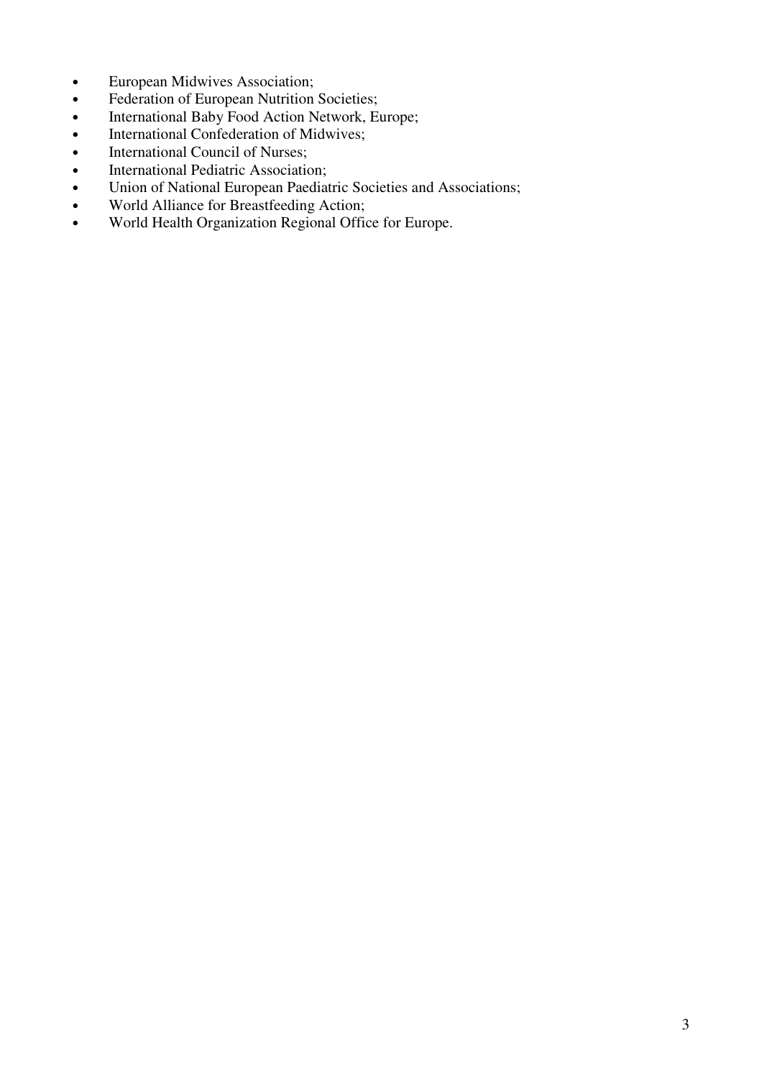- European Midwives Association;
- Federation of European Nutrition Societies;
- International Baby Food Action Network, Europe;
- International Confederation of Midwives;
- International Council of Nurses;
- International Pediatric Association;
- Union of National European Paediatric Societies and Associations;
- World Alliance for Breastfeeding Action;
- World Health Organization Regional Office for Europe.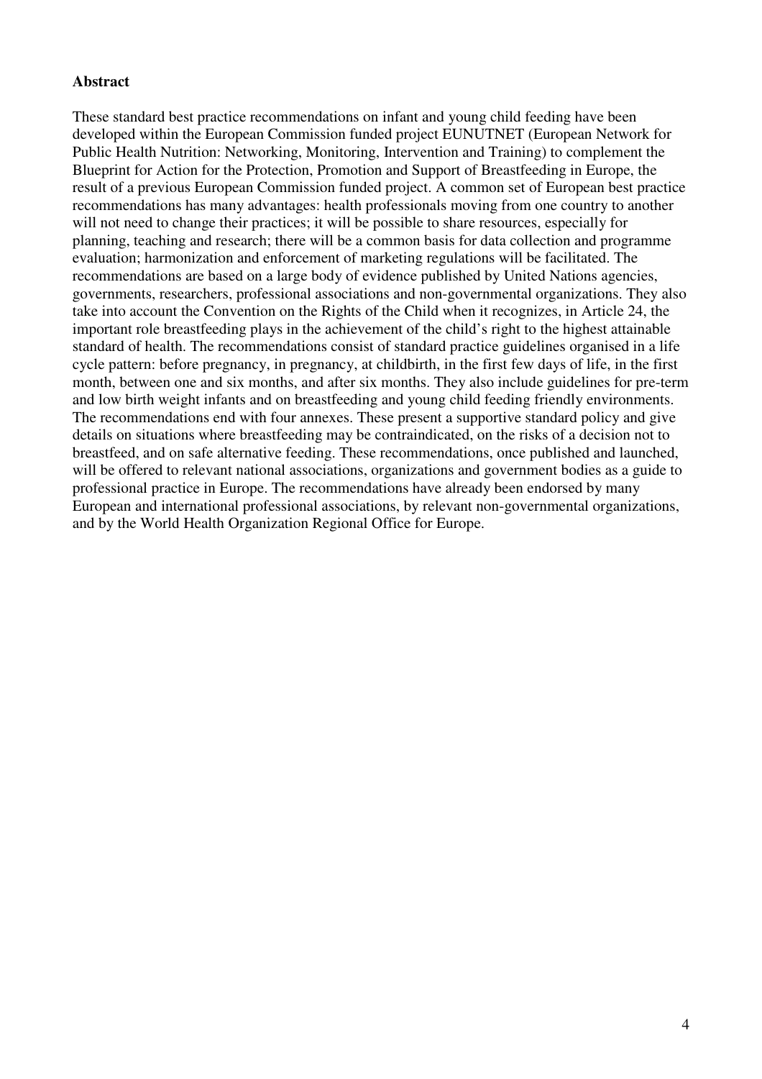#### **Abstract**

These standard best practice recommendations on infant and young child feeding have been developed within the European Commission funded project EUNUTNET (European Network for Public Health Nutrition: Networking, Monitoring, Intervention and Training) to complement the Blueprint for Action for the Protection, Promotion and Support of Breastfeeding in Europe, the result of a previous European Commission funded project. A common set of European best practice recommendations has many advantages: health professionals moving from one country to another will not need to change their practices; it will be possible to share resources, especially for planning, teaching and research; there will be a common basis for data collection and programme evaluation; harmonization and enforcement of marketing regulations will be facilitated. The recommendations are based on a large body of evidence published by United Nations agencies, governments, researchers, professional associations and non-governmental organizations. They also take into account the Convention on the Rights of the Child when it recognizes, in Article 24, the important role breastfeeding plays in the achievement of the child's right to the highest attainable standard of health. The recommendations consist of standard practice guidelines organised in a life cycle pattern: before pregnancy, in pregnancy, at childbirth, in the first few days of life, in the first month, between one and six months, and after six months. They also include guidelines for pre-term and low birth weight infants and on breastfeeding and young child feeding friendly environments. The recommendations end with four annexes. These present a supportive standard policy and give details on situations where breastfeeding may be contraindicated, on the risks of a decision not to breastfeed, and on safe alternative feeding. These recommendations, once published and launched, will be offered to relevant national associations, organizations and government bodies as a guide to professional practice in Europe. The recommendations have already been endorsed by many European and international professional associations, by relevant non-governmental organizations, and by the World Health Organization Regional Office for Europe.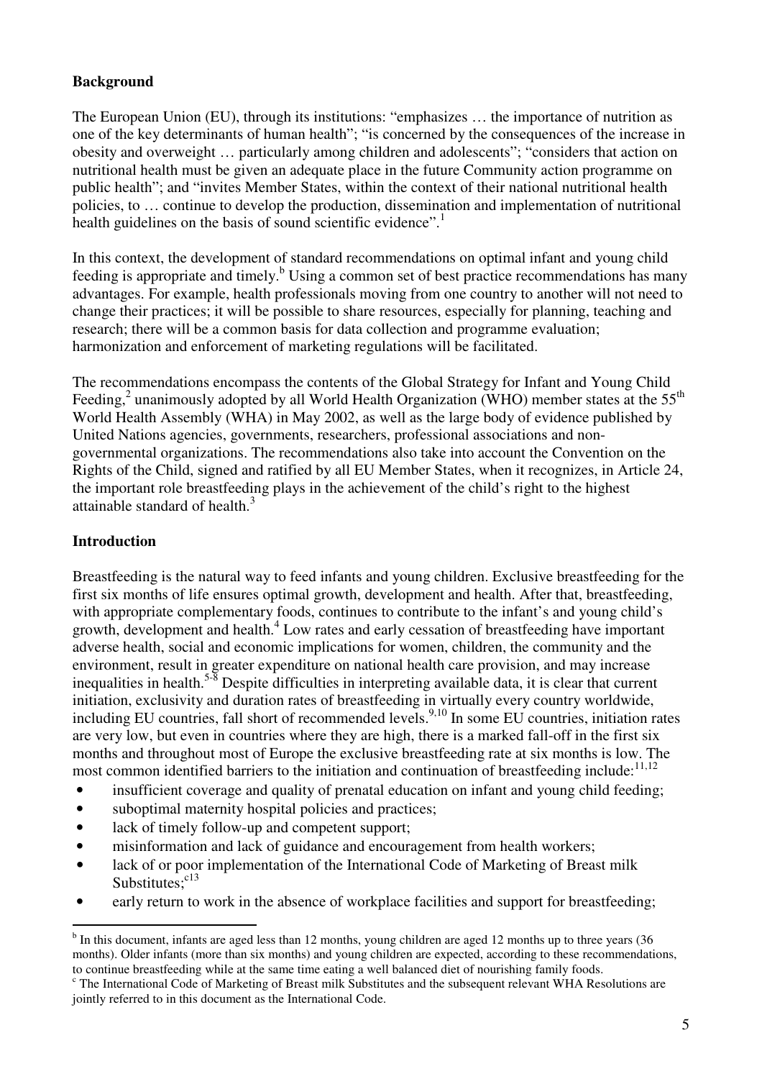## **Background**

The European Union (EU), through its institutions: "emphasizes … the importance of nutrition as one of the key determinants of human health"; "is concerned by the consequences of the increase in obesity and overweight … particularly among children and adolescents"; "considers that action on nutritional health must be given an adequate place in the future Community action programme on public health"; and "invites Member States, within the context of their national nutritional health policies, to … continue to develop the production, dissemination and implementation of nutritional health guidelines on the basis of sound scientific evidence".<sup>1</sup>

In this context, the development of standard recommendations on optimal infant and young child feeding is appropriate and timely.<sup>b</sup> Using a common set of best practice recommendations has many advantages. For example, health professionals moving from one country to another will not need to change their practices; it will be possible to share resources, especially for planning, teaching and research; there will be a common basis for data collection and programme evaluation; harmonization and enforcement of marketing regulations will be facilitated.

The recommendations encompass the contents of the Global Strategy for Infant and Young Child Feeding,<sup>2</sup> unanimously adopted by all World Health Organization (WHO) member states at the 55<sup>th</sup> World Health Assembly (WHA) in May 2002, as well as the large body of evidence published by United Nations agencies, governments, researchers, professional associations and nongovernmental organizations. The recommendations also take into account the Convention on the Rights of the Child, signed and ratified by all EU Member States, when it recognizes, in Article 24, the important role breastfeeding plays in the achievement of the child's right to the highest attainable standard of health.<sup>3</sup>

#### **Introduction**

 $\overline{a}$ 

Breastfeeding is the natural way to feed infants and young children. Exclusive breastfeeding for the first six months of life ensures optimal growth, development and health. After that, breastfeeding, with appropriate complementary foods, continues to contribute to the infant's and young child's growth, development and health.<sup>4</sup> Low rates and early cessation of breastfeeding have important adverse health, social and economic implications for women, children, the community and the environment, result in greater expenditure on national health care provision, and may increase inequalities in health.5-8 Despite difficulties in interpreting available data, it is clear that current initiation, exclusivity and duration rates of breastfeeding in virtually every country worldwide, including EU countries, fall short of recommended levels.<sup>9,10</sup> In some EU countries, initiation rates are very low, but even in countries where they are high, there is a marked fall-off in the first six months and throughout most of Europe the exclusive breastfeeding rate at six months is low. The most common identified barriers to the initiation and continuation of breastfeeding include:<sup>11,12</sup>

- insufficient coverage and quality of prenatal education on infant and young child feeding;
- suboptimal maternity hospital policies and practices:
- lack of timely follow-up and competent support:
- misinformation and lack of guidance and encouragement from health workers;
- lack of or poor implementation of the International Code of Marketing of Breast milk Substitutes;<sup>c13</sup>
- early return to work in the absence of workplace facilities and support for breastfeeding;

<sup>&</sup>lt;sup>b</sup> In this document, infants are aged less than 12 months, young children are aged 12 months up to three years (36 months). Older infants (more than six months) and young children are expected, according to these recommendations, to continue breastfeeding while at the same time eating a well balanced diet of nourishing family foods.

<sup>&</sup>lt;sup>c</sup> The International Code of Marketing of Breast milk Substitutes and the subsequent relevant WHA Resolutions are jointly referred to in this document as the International Code.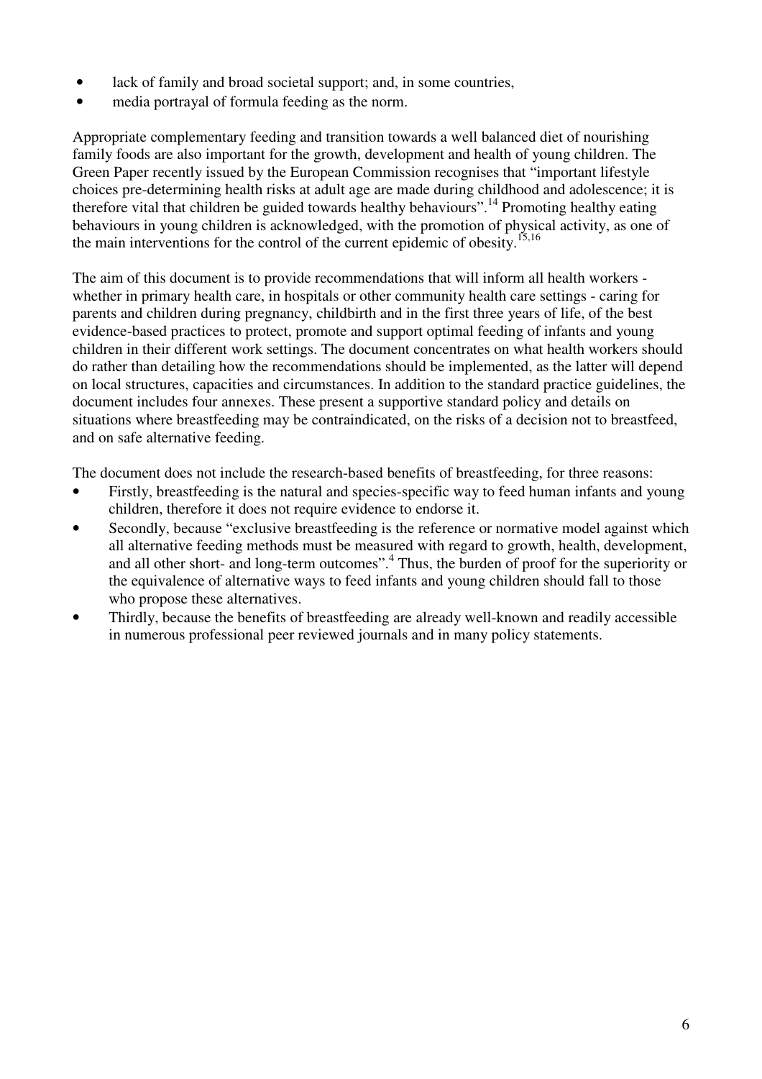- lack of family and broad societal support; and, in some countries,
- media portrayal of formula feeding as the norm.

Appropriate complementary feeding and transition towards a well balanced diet of nourishing family foods are also important for the growth, development and health of young children. The Green Paper recently issued by the European Commission recognises that "important lifestyle choices pre-determining health risks at adult age are made during childhood and adolescence; it is therefore vital that children be guided towards healthy behaviours".<sup>14</sup> Promoting healthy eating behaviours in young children is acknowledged, with the promotion of physical activity, as one of the main interventions for the control of the current epidemic of obesity.<sup>15,16</sup>

The aim of this document is to provide recommendations that will inform all health workers whether in primary health care, in hospitals or other community health care settings - caring for parents and children during pregnancy, childbirth and in the first three years of life, of the best evidence-based practices to protect, promote and support optimal feeding of infants and young children in their different work settings. The document concentrates on what health workers should do rather than detailing how the recommendations should be implemented, as the latter will depend on local structures, capacities and circumstances. In addition to the standard practice guidelines, the document includes four annexes. These present a supportive standard policy and details on situations where breastfeeding may be contraindicated, on the risks of a decision not to breastfeed, and on safe alternative feeding.

The document does not include the research-based benefits of breastfeeding, for three reasons:

- Firstly, breastfeeding is the natural and species-specific way to feed human infants and young children, therefore it does not require evidence to endorse it.
- Secondly, because "exclusive breastfeeding is the reference or normative model against which all alternative feeding methods must be measured with regard to growth, health, development, and all other short- and long-term outcomes".<sup>4</sup> Thus, the burden of proof for the superiority or the equivalence of alternative ways to feed infants and young children should fall to those who propose these alternatives.
- Thirdly, because the benefits of breastfeeding are already well-known and readily accessible in numerous professional peer reviewed journals and in many policy statements.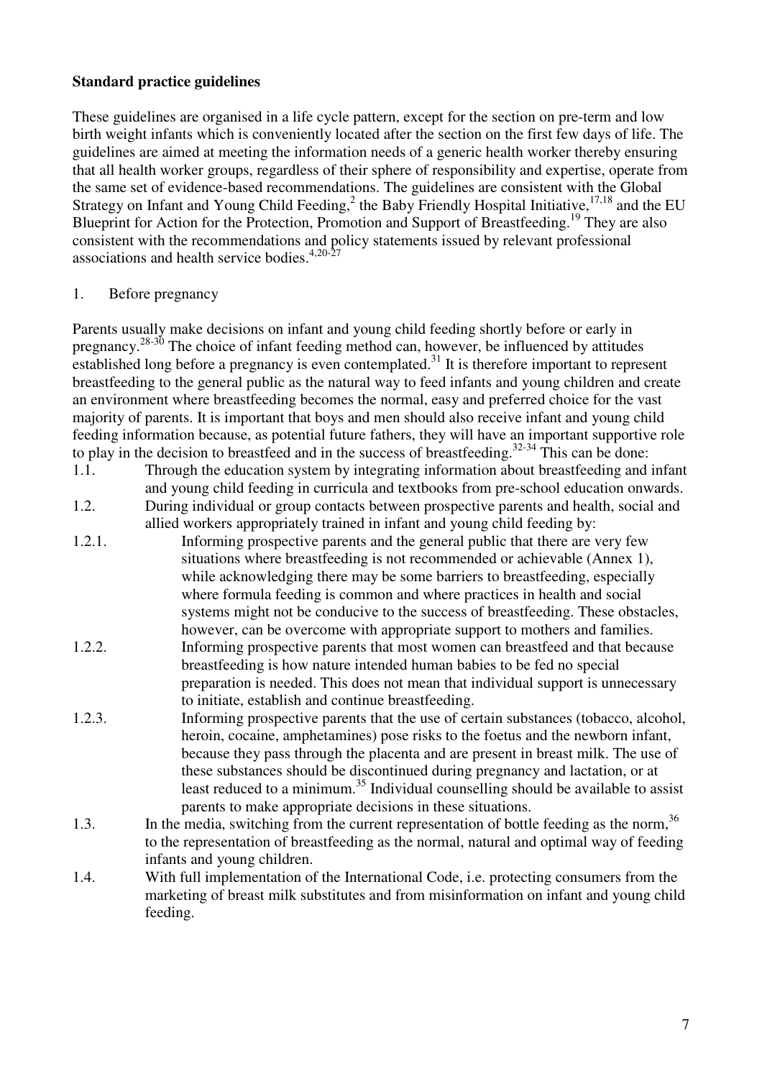### **Standard practice guidelines**

These guidelines are organised in a life cycle pattern, except for the section on pre-term and low birth weight infants which is conveniently located after the section on the first few days of life. The guidelines are aimed at meeting the information needs of a generic health worker thereby ensuring that all health worker groups, regardless of their sphere of responsibility and expertise, operate from the same set of evidence-based recommendations. The guidelines are consistent with the Global Strategy on Infant and Young Child Feeding,<sup>2</sup> the Baby Friendly Hospital Initiative,  $17,18$  and the EU Blueprint for Action for the Protection, Promotion and Support of Breastfeeding.<sup>19</sup> They are also consistent with the recommendations and policy statements issued by relevant professional associations and health service bodies. $4,20-27$ 

#### 1. Before pregnancy

Parents usually make decisions on infant and young child feeding shortly before or early in pregnancy.28-30 The choice of infant feeding method can, however, be influenced by attitudes established long before a pregnancy is even contemplated.<sup>31</sup> It is therefore important to represent breastfeeding to the general public as the natural way to feed infants and young children and create an environment where breastfeeding becomes the normal, easy and preferred choice for the vast majority of parents. It is important that boys and men should also receive infant and young child feeding information because, as potential future fathers, they will have an important supportive role to play in the decision to breastfeed and in the success of breastfeeding.<sup>32-34</sup> This can be done:

1.1. Through the education system by integrating information about breastfeeding and infant and young child feeding in curricula and textbooks from pre-school education onwards.

1.2. During individual or group contacts between prospective parents and health, social and allied workers appropriately trained in infant and young child feeding by:

- 1.2.1. Informing prospective parents and the general public that there are very few situations where breastfeeding is not recommended or achievable (Annex 1), while acknowledging there may be some barriers to breastfeeding, especially where formula feeding is common and where practices in health and social systems might not be conducive to the success of breastfeeding. These obstacles, however, can be overcome with appropriate support to mothers and families.
- 1.2.2. Informing prospective parents that most women can breastfeed and that because breastfeeding is how nature intended human babies to be fed no special preparation is needed. This does not mean that individual support is unnecessary to initiate, establish and continue breastfeeding.
- 1.2.3. Informing prospective parents that the use of certain substances (tobacco, alcohol, heroin, cocaine, amphetamines) pose risks to the foetus and the newborn infant, because they pass through the placenta and are present in breast milk. The use of these substances should be discontinued during pregnancy and lactation, or at least reduced to a minimum.<sup>35</sup> Individual counselling should be available to assist parents to make appropriate decisions in these situations.
- 1.3. In the media, switching from the current representation of bottle feeding as the norm.<sup>36</sup> to the representation of breastfeeding as the normal, natural and optimal way of feeding infants and young children.
- 1.4. With full implementation of the International Code, i.e. protecting consumers from the marketing of breast milk substitutes and from misinformation on infant and young child feeding.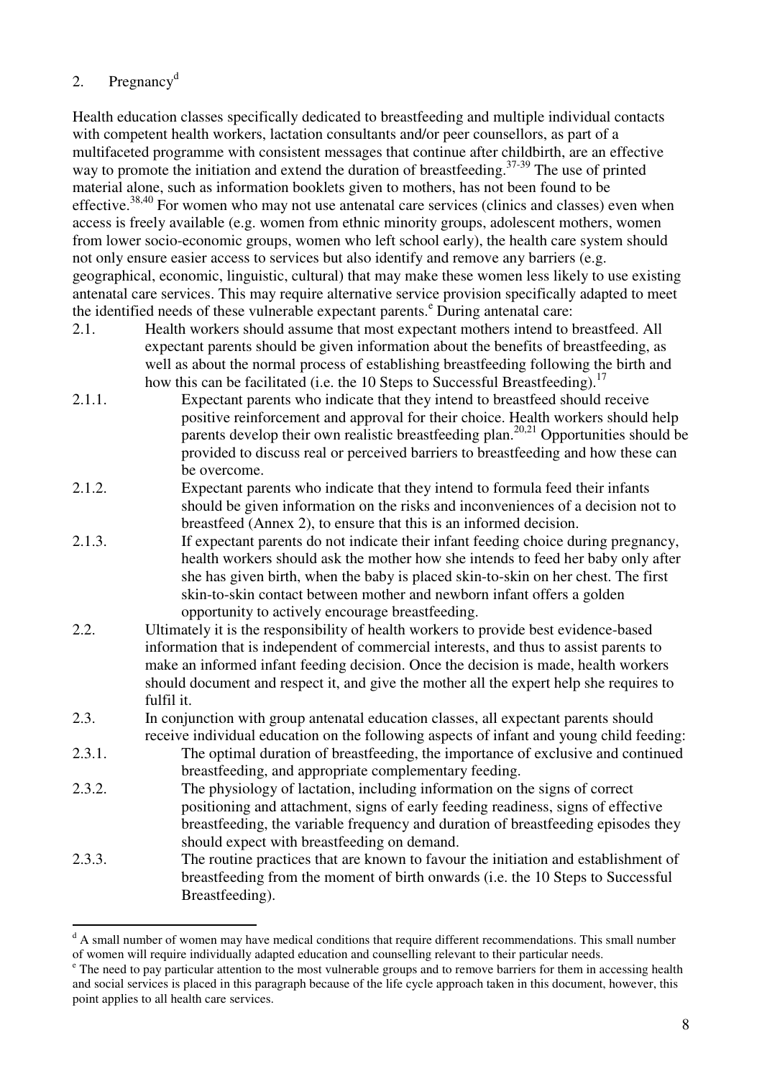## 2. Pregnancy<sup>d</sup>

Health education classes specifically dedicated to breastfeeding and multiple individual contacts with competent health workers, lactation consultants and/or peer counsellors, as part of a multifaceted programme with consistent messages that continue after childbirth, are an effective way to promote the initiation and extend the duration of breastfeeding.<sup>37-39</sup> The use of printed material alone, such as information booklets given to mothers, has not been found to be effective.<sup>38,40</sup> For women who may not use antenatal care services (clinics and classes) even when access is freely available (e.g. women from ethnic minority groups, adolescent mothers, women from lower socio-economic groups, women who left school early), the health care system should not only ensure easier access to services but also identify and remove any barriers (e.g. geographical, economic, linguistic, cultural) that may make these women less likely to use existing antenatal care services. This may require alternative service provision specifically adapted to meet the identified needs of these vulnerable expectant parents.<sup>e</sup> During antenatal care:

- 2.1. Health workers should assume that most expectant mothers intend to breastfeed. All expectant parents should be given information about the benefits of breastfeeding, as well as about the normal process of establishing breastfeeding following the birth and how this can be facilitated (i.e. the 10 Steps to Successful Breastfeeding).<sup>17</sup>
- 2.1.1. Expectant parents who indicate that they intend to breastfeed should receive positive reinforcement and approval for their choice. Health workers should help parents develop their own realistic breastfeeding plan.<sup>20,21</sup> Opportunities should be provided to discuss real or perceived barriers to breastfeeding and how these can be overcome.
- 2.1.2. Expectant parents who indicate that they intend to formula feed their infants should be given information on the risks and inconveniences of a decision not to breastfeed (Annex 2), to ensure that this is an informed decision.
- 2.1.3. If expectant parents do not indicate their infant feeding choice during pregnancy, health workers should ask the mother how she intends to feed her baby only after she has given birth, when the baby is placed skin-to-skin on her chest. The first skin-to-skin contact between mother and newborn infant offers a golden opportunity to actively encourage breastfeeding.
- 2.2. Ultimately it is the responsibility of health workers to provide best evidence-based information that is independent of commercial interests, and thus to assist parents to make an informed infant feeding decision. Once the decision is made, health workers should document and respect it, and give the mother all the expert help she requires to fulfil it.
- 2.3. In conjunction with group antenatal education classes, all expectant parents should receive individual education on the following aspects of infant and young child feeding:
- 2.3.1. The optimal duration of breastfeeding, the importance of exclusive and continued breastfeeding, and appropriate complementary feeding.
- 2.3.2. The physiology of lactation, including information on the signs of correct positioning and attachment, signs of early feeding readiness, signs of effective breastfeeding, the variable frequency and duration of breastfeeding episodes they should expect with breastfeeding on demand.
- 2.3.3. The routine practices that are known to favour the initiation and establishment of breastfeeding from the moment of birth onwards (i.e. the 10 Steps to Successful Breastfeeding).

<sup>&</sup>lt;sup>d</sup> A small number of women may have medical conditions that require different recommendations. This small number of women will require individually adapted education and counselling relevant to their particular needs.

<sup>&</sup>lt;sup>e</sup> The need to pay particular attention to the most vulnerable groups and to remove barriers for them in accessing health and social services is placed in this paragraph because of the life cycle approach taken in this document, however, this point applies to all health care services.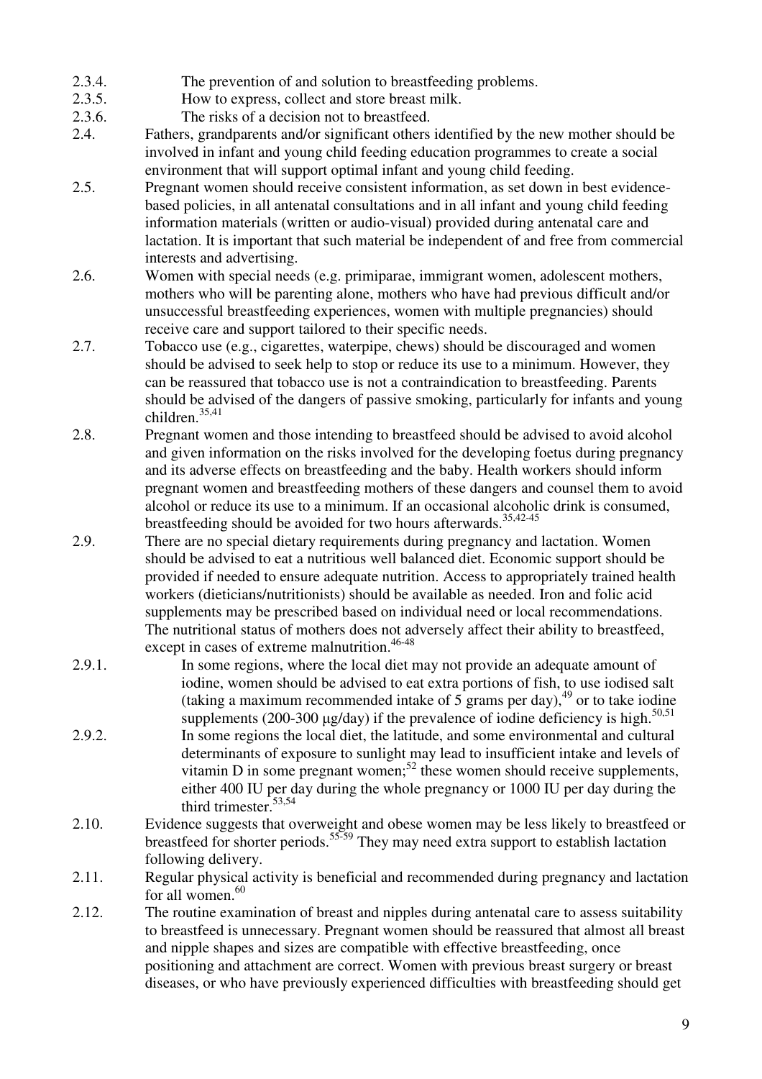- 2.3.4. The prevention of and solution to breastfeeding problems.
- 2.3.5. How to express, collect and store breast milk.
- 2.3.6. The risks of a decision not to breastfeed.
- 2.4. Fathers, grandparents and/or significant others identified by the new mother should be involved in infant and young child feeding education programmes to create a social environment that will support optimal infant and young child feeding.
- 2.5. Pregnant women should receive consistent information, as set down in best evidencebased policies, in all antenatal consultations and in all infant and young child feeding information materials (written or audio-visual) provided during antenatal care and lactation. It is important that such material be independent of and free from commercial interests and advertising.
- 2.6. Women with special needs (e.g. primiparae, immigrant women, adolescent mothers, mothers who will be parenting alone, mothers who have had previous difficult and/or unsuccessful breastfeeding experiences, women with multiple pregnancies) should receive care and support tailored to their specific needs.
- 2.7. Tobacco use (e.g., cigarettes, waterpipe, chews) should be discouraged and women should be advised to seek help to stop or reduce its use to a minimum. However, they can be reassured that tobacco use is not a contraindication to breastfeeding. Parents should be advised of the dangers of passive smoking, particularly for infants and young children.35,41
- 2.8. Pregnant women and those intending to breastfeed should be advised to avoid alcohol and given information on the risks involved for the developing foetus during pregnancy and its adverse effects on breastfeeding and the baby. Health workers should inform pregnant women and breastfeeding mothers of these dangers and counsel them to avoid alcohol or reduce its use to a minimum. If an occasional alcoholic drink is consumed, breastfeeding should be avoided for two hours afterwards.<sup>35,42-45</sup>
- 2.9. There are no special dietary requirements during pregnancy and lactation. Women should be advised to eat a nutritious well balanced diet. Economic support should be provided if needed to ensure adequate nutrition. Access to appropriately trained health workers (dieticians/nutritionists) should be available as needed. Iron and folic acid supplements may be prescribed based on individual need or local recommendations. The nutritional status of mothers does not adversely affect their ability to breastfeed, except in cases of extreme malnutrition.<sup>46-48</sup>
- 2.9.1. In some regions, where the local diet may not provide an adequate amount of iodine, women should be advised to eat extra portions of fish, to use iodised salt (taking a maximum recommended intake of  $5$  grams per day), <sup>49</sup> or to take iodine supplements (200-300  $\mu$ g/day) if the prevalence of iodine deficiency is high.<sup>50,51</sup>
- 2.9.2. In some regions the local diet, the latitude, and some environmental and cultural determinants of exposure to sunlight may lead to insufficient intake and levels of vitamin D in some pregnant women;<sup>52</sup> these women should receive supplements, either 400 IU per day during the whole pregnancy or 1000 IU per day during the third trimester.<sup>53,54</sup>
- 2.10. Evidence suggests that overweight and obese women may be less likely to breastfeed or breastfeed for shorter periods.<sup>55-59</sup> They may need extra support to establish lactation following delivery.
- 2.11. Regular physical activity is beneficial and recommended during pregnancy and lactation for all women.<sup>60</sup>
- 2.12. The routine examination of breast and nipples during antenatal care to assess suitability to breastfeed is unnecessary. Pregnant women should be reassured that almost all breast and nipple shapes and sizes are compatible with effective breastfeeding, once positioning and attachment are correct. Women with previous breast surgery or breast diseases, or who have previously experienced difficulties with breastfeeding should get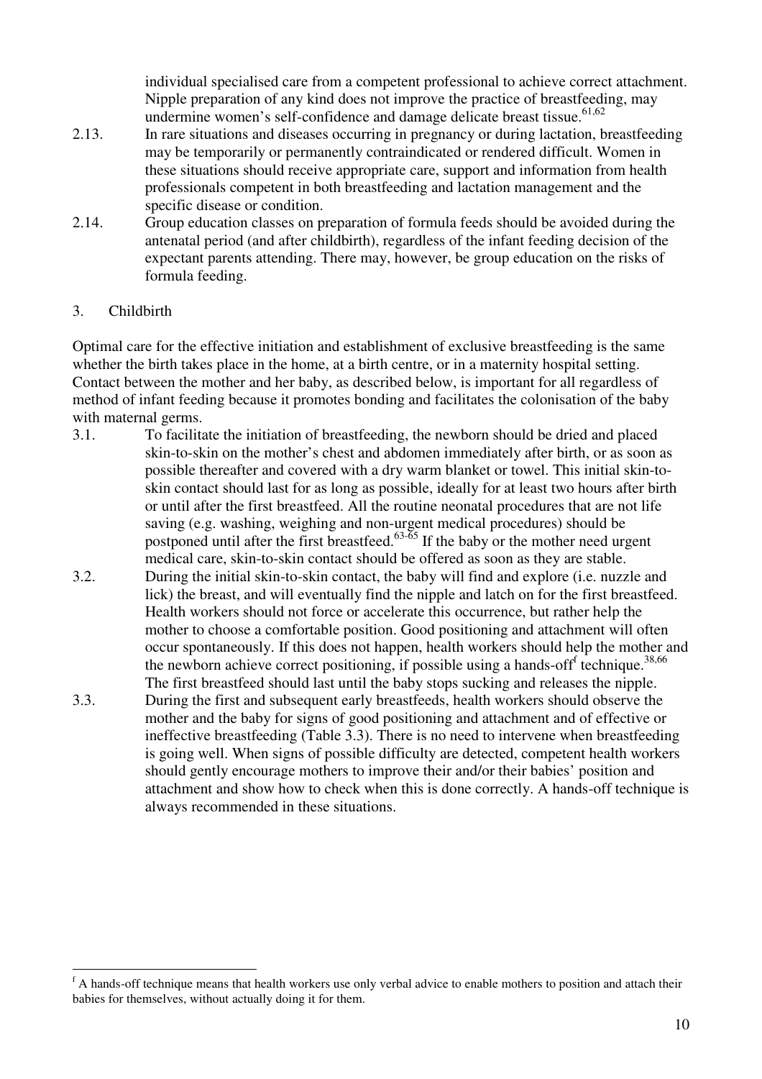individual specialised care from a competent professional to achieve correct attachment. Nipple preparation of any kind does not improve the practice of breastfeeding, may undermine women's self-confidence and damage delicate breast tissue.<sup>61,62</sup>

- 2.13. In rare situations and diseases occurring in pregnancy or during lactation, breastfeeding may be temporarily or permanently contraindicated or rendered difficult. Women in these situations should receive appropriate care, support and information from health professionals competent in both breastfeeding and lactation management and the specific disease or condition.
- 2.14. Group education classes on preparation of formula feeds should be avoided during the antenatal period (and after childbirth), regardless of the infant feeding decision of the expectant parents attending. There may, however, be group education on the risks of formula feeding.

#### 3. Childbirth

Optimal care for the effective initiation and establishment of exclusive breastfeeding is the same whether the birth takes place in the home, at a birth centre, or in a maternity hospital setting. Contact between the mother and her baby, as described below, is important for all regardless of method of infant feeding because it promotes bonding and facilitates the colonisation of the baby with maternal germs.

- 3.1. To facilitate the initiation of breastfeeding, the newborn should be dried and placed skin-to-skin on the mother's chest and abdomen immediately after birth, or as soon as possible thereafter and covered with a dry warm blanket or towel. This initial skin-toskin contact should last for as long as possible, ideally for at least two hours after birth or until after the first breastfeed. All the routine neonatal procedures that are not life saving (e.g. washing, weighing and non-urgent medical procedures) should be postponed until after the first breastfeed.<sup>63-65</sup> If the baby or the mother need urgent medical care, skin-to-skin contact should be offered as soon as they are stable.
- 3.2. During the initial skin-to-skin contact, the baby will find and explore (i.e. nuzzle and lick) the breast, and will eventually find the nipple and latch on for the first breastfeed. Health workers should not force or accelerate this occurrence, but rather help the mother to choose a comfortable position. Good positioning and attachment will often occur spontaneously. If this does not happen, health workers should help the mother and the newborn achieve correct positioning, if possible using a hands-off technique.<sup>38,66</sup> The first breastfeed should last until the baby stops sucking and releases the nipple.
- 3.3. During the first and subsequent early breastfeeds, health workers should observe the mother and the baby for signs of good positioning and attachment and of effective or ineffective breastfeeding (Table 3.3). There is no need to intervene when breastfeeding is going well. When signs of possible difficulty are detected, competent health workers should gently encourage mothers to improve their and/or their babies' position and attachment and show how to check when this is done correctly. A hands-off technique is always recommended in these situations.

f<br>A hands-off technique means that health workers use only verbal advice to enable mothers to position and attach their babies for themselves, without actually doing it for them.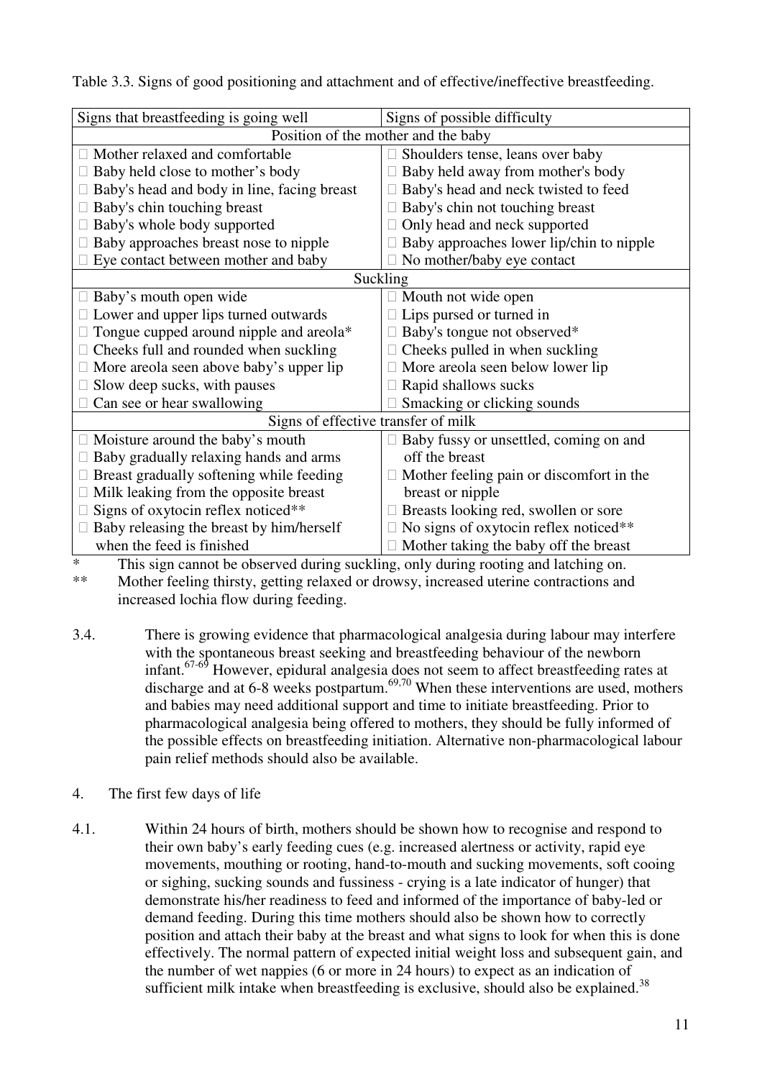| Signs that breastfeeding is going well      | Signs of possible difficulty             |  |  |
|---------------------------------------------|------------------------------------------|--|--|
| Position of the mother and the baby         |                                          |  |  |
| Mother relaxed and comfortable              | Shoulders tense, leans over baby         |  |  |
| Baby held close to mother's body            | Baby held away from mother's body        |  |  |
| Baby's head and body in line, facing breast | Baby's head and neck twisted to feed     |  |  |
| Baby's chin touching breast                 | Baby's chin not touching breast          |  |  |
| Baby's whole body supported                 | Only head and neck supported             |  |  |
| Baby approaches breast nose to nipple       | Baby approaches lower lip/chin to nipple |  |  |
| Eye contact between mother and baby         | No mother/baby eye contact               |  |  |
| Suckling                                    |                                          |  |  |
| Baby's mouth open wide                      | Mouth not wide open                      |  |  |
| Lower and upper lips turned outwards        | Lips pursed or turned in                 |  |  |
| Tongue cupped around nipple and areola*     | Baby's tongue not observed*              |  |  |
| Cheeks full and rounded when suckling       | Cheeks pulled in when suckling           |  |  |
| More areola seen above baby's upper lip     | More areola seen below lower lip         |  |  |
| Slow deep sucks, with pauses                | Rapid shallows sucks                     |  |  |
| Can see or hear swallowing                  | Smacking or clicking sounds              |  |  |
| Signs of effective transfer of milk         |                                          |  |  |
| Moisture around the baby's mouth            | Baby fussy or unsettled, coming on and   |  |  |
| Baby gradually relaxing hands and arms      | off the breast                           |  |  |
| Breast gradually softening while feeding    | Mother feeling pain or discomfort in the |  |  |
| Milk leaking from the opposite breast       | breast or nipple                         |  |  |
| Signs of oxytocin reflex noticed**          | Breasts looking red, swollen or sore     |  |  |
| Baby releasing the breast by him/herself    | No signs of oxytocin reflex noticed**    |  |  |
| when the feed is finished                   | Mother taking the baby off the breast    |  |  |

Table 3.3. Signs of good positioning and attachment and of effective/ineffective breastfeeding.

\* This sign cannot be observed during suckling, only during rooting and latching on.<br>\*\* Mother feeling thirsty, gotting relaxed or drowsy increased utering contractions and

Mother feeling thirsty, getting relaxed or drowsy, increased uterine contractions and increased lochia flow during feeding.

- 3.4. There is growing evidence that pharmacological analgesia during labour may interfere with the spontaneous breast seeking and breastfeeding behaviour of the newborn infant.<sup>67-69</sup> However, epidural analgesia does not seem to affect breastfeeding rates at discharge and at 6-8 weeks postpartum.<sup>69,70</sup> When these interventions are used, mothers and babies may need additional support and time to initiate breastfeeding. Prior to pharmacological analgesia being offered to mothers, they should be fully informed of the possible effects on breastfeeding initiation. Alternative non-pharmacological labour pain relief methods should also be available.
- 4. The first few days of life
- 4.1. Within 24 hours of birth, mothers should be shown how to recognise and respond to their own baby's early feeding cues (e.g. increased alertness or activity, rapid eye movements, mouthing or rooting, hand-to-mouth and sucking movements, soft cooing or sighing, sucking sounds and fussiness - crying is a late indicator of hunger) that demonstrate his/her readiness to feed and informed of the importance of baby-led or demand feeding. During this time mothers should also be shown how to correctly position and attach their baby at the breast and what signs to look for when this is done effectively. The normal pattern of expected initial weight loss and subsequent gain, and the number of wet nappies (6 or more in 24 hours) to expect as an indication of sufficient milk intake when breastfeeding is exclusive, should also be explained.<sup>38</sup>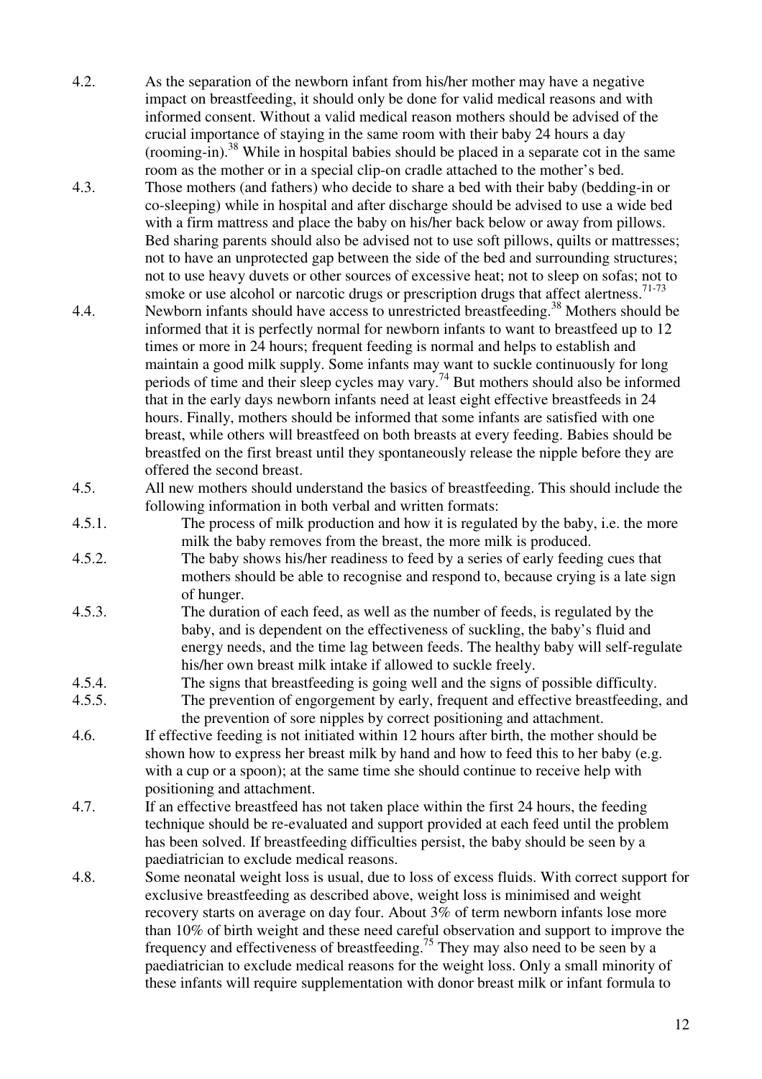- 4.2. As the separation of the newborn infant from his/her mother may have a negative impact on breastfeeding, it should only be done for valid medical reasons and with informed consent. Without a valid medical reason mothers should be advised of the crucial importance of staying in the same room with their baby 24 hours a day (rooming-in).<sup>38</sup> While in hospital babies should be placed in a separate cot in the same room as the mother or in a special clip-on cradle attached to the mother's bed.
- 4.3. Those mothers (and fathers) who decide to share a bed with their baby (bedding-in or co-sleeping) while in hospital and after discharge should be advised to use a wide bed with a firm mattress and place the baby on his/her back below or away from pillows. Bed sharing parents should also be advised not to use soft pillows, quilts or mattresses; not to have an unprotected gap between the side of the bed and surrounding structures; not to use heavy duvets or other sources of excessive heat; not to sleep on sofas; not to smoke or use alcohol or narcotic drugs or prescription drugs that affect alertness.  $71-73$
- 4.4. Newborn infants should have access to unrestricted breastfeeding.<sup>38</sup> Mothers should be informed that it is perfectly normal for newborn infants to want to breastfeed up to 12 times or more in 24 hours; frequent feeding is normal and helps to establish and maintain a good milk supply. Some infants may want to suckle continuously for long periods of time and their sleep cycles may vary.<sup>74</sup> But mothers should also be informed that in the early days newborn infants need at least eight effective breastfeeds in 24 hours. Finally, mothers should be informed that some infants are satisfied with one breast, while others will breastfeed on both breasts at every feeding. Babies should be breastfed on the first breast until they spontaneously release the nipple before they are offered the second breast.
- 4.5. All new mothers should understand the basics of breastfeeding. This should include the following information in both verbal and written formats:
- 4.5.1. The process of milk production and how it is regulated by the baby, i.e. the more milk the baby removes from the breast, the more milk is produced.
- 4.5.2. The baby shows his/her readiness to feed by a series of early feeding cues that mothers should be able to recognise and respond to, because crying is a late sign of hunger.
- 4.5.3. The duration of each feed, as well as the number of feeds, is regulated by the baby, and is dependent on the effectiveness of suckling, the baby's fluid and energy needs, and the time lag between feeds. The healthy baby will self-regulate his/her own breast milk intake if allowed to suckle freely.
- 4.5.4. The signs that breastfeeding is going well and the signs of possible difficulty.
- 4.5.5. The prevention of engorgement by early, frequent and effective breastfeeding, and the prevention of sore nipples by correct positioning and attachment.
- 4.6. If effective feeding is not initiated within 12 hours after birth, the mother should be shown how to express her breast milk by hand and how to feed this to her baby (e.g. with a cup or a spoon); at the same time she should continue to receive help with positioning and attachment.
- 4.7. If an effective breastfeed has not taken place within the first 24 hours, the feeding technique should be re-evaluated and support provided at each feed until the problem has been solved. If breastfeeding difficulties persist, the baby should be seen by a paediatrician to exclude medical reasons.
- 4.8. Some neonatal weight loss is usual, due to loss of excess fluids. With correct support for exclusive breastfeeding as described above, weight loss is minimised and weight recovery starts on average on day four. About 3% of term newborn infants lose more than 10% of birth weight and these need careful observation and support to improve the frequency and effectiveness of breastfeeding.<sup>75</sup> They may also need to be seen by a paediatrician to exclude medical reasons for the weight loss. Only a small minority of these infants will require supplementation with donor breast milk or infant formula to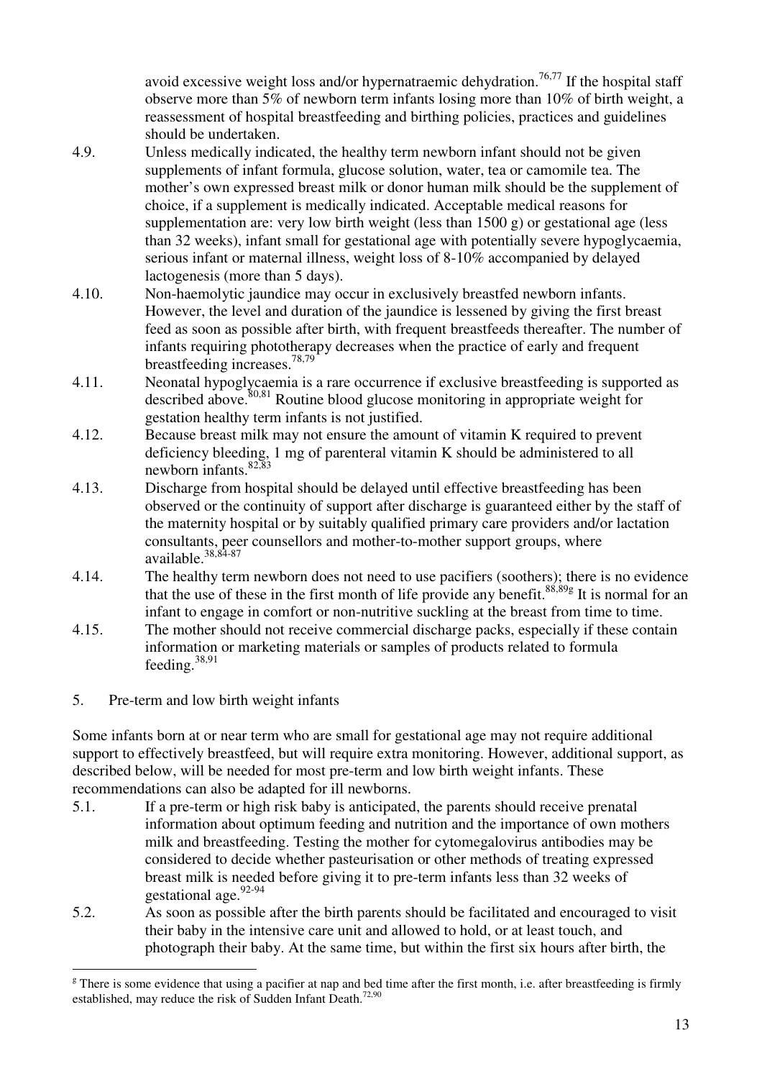avoid excessive weight loss and/or hypernatraemic dehydration.<sup>76,77</sup> If the hospital staff observe more than 5% of newborn term infants losing more than 10% of birth weight, a reassessment of hospital breastfeeding and birthing policies, practices and guidelines should be undertaken.

- 4.9. Unless medically indicated, the healthy term newborn infant should not be given supplements of infant formula, glucose solution, water, tea or camomile tea. The mother's own expressed breast milk or donor human milk should be the supplement of choice, if a supplement is medically indicated. Acceptable medical reasons for supplementation are: very low birth weight (less than  $1500 \text{ g}$ ) or gestational age (less than 32 weeks), infant small for gestational age with potentially severe hypoglycaemia, serious infant or maternal illness, weight loss of 8-10% accompanied by delayed lactogenesis (more than 5 days).
- 4.10. Non-haemolytic jaundice may occur in exclusively breastfed newborn infants. However, the level and duration of the jaundice is lessened by giving the first breast feed as soon as possible after birth, with frequent breastfeeds thereafter. The number of infants requiring phototherapy decreases when the practice of early and frequent breastfeeding increases.78,79
- 4.11. Neonatal hypoglycaemia is a rare occurrence if exclusive breastfeeding is supported as described above.<sup>80,81</sup> Routine blood glucose monitoring in appropriate weight for gestation healthy term infants is not justified.
- 4.12. Because breast milk may not ensure the amount of vitamin K required to prevent deficiency bleeding, 1 mg of parenteral vitamin K should be administered to all newborn infants. $82,83$
- 4.13. Discharge from hospital should be delayed until effective breastfeeding has been observed or the continuity of support after discharge is guaranteed either by the staff of the maternity hospital or by suitably qualified primary care providers and/or lactation consultants, peer counsellors and mother-to-mother support groups, where  $a\text{vailable.}^{38,84-87}$
- 4.14. The healthy term newborn does not need to use pacifiers (soothers); there is no evidence that the use of these in the first month of life provide any benefit.<sup>88,89g</sup> It is normal for an infant to engage in comfort or non-nutritive suckling at the breast from time to time.
- 4.15. The mother should not receive commercial discharge packs, especially if these contain information or marketing materials or samples of products related to formula feeding.38,91
- 5. Pre-term and low birth weight infants

Some infants born at or near term who are small for gestational age may not require additional support to effectively breastfeed, but will require extra monitoring. However, additional support, as described below, will be needed for most pre-term and low birth weight infants. These recommendations can also be adapted for ill newborns.

- 5.1. If a pre-term or high risk baby is anticipated, the parents should receive prenatal information about optimum feeding and nutrition and the importance of own mothers milk and breastfeeding. Testing the mother for cytomegalovirus antibodies may be considered to decide whether pasteurisation or other methods of treating expressed breast milk is needed before giving it to pre-term infants less than 32 weeks of gestational age.<sup>92-94</sup>
- 5.2. As soon as possible after the birth parents should be facilitated and encouraged to visit their baby in the intensive care unit and allowed to hold, or at least touch, and photograph their baby. At the same time, but within the first six hours after birth, the

 $\overline{a}$ <sup>g</sup> There is some evidence that using a pacifier at nap and bed time after the first month, i.e. after breastfeeding is firmly established, may reduce the risk of Sudden Infant Death.<sup>72,90</sup>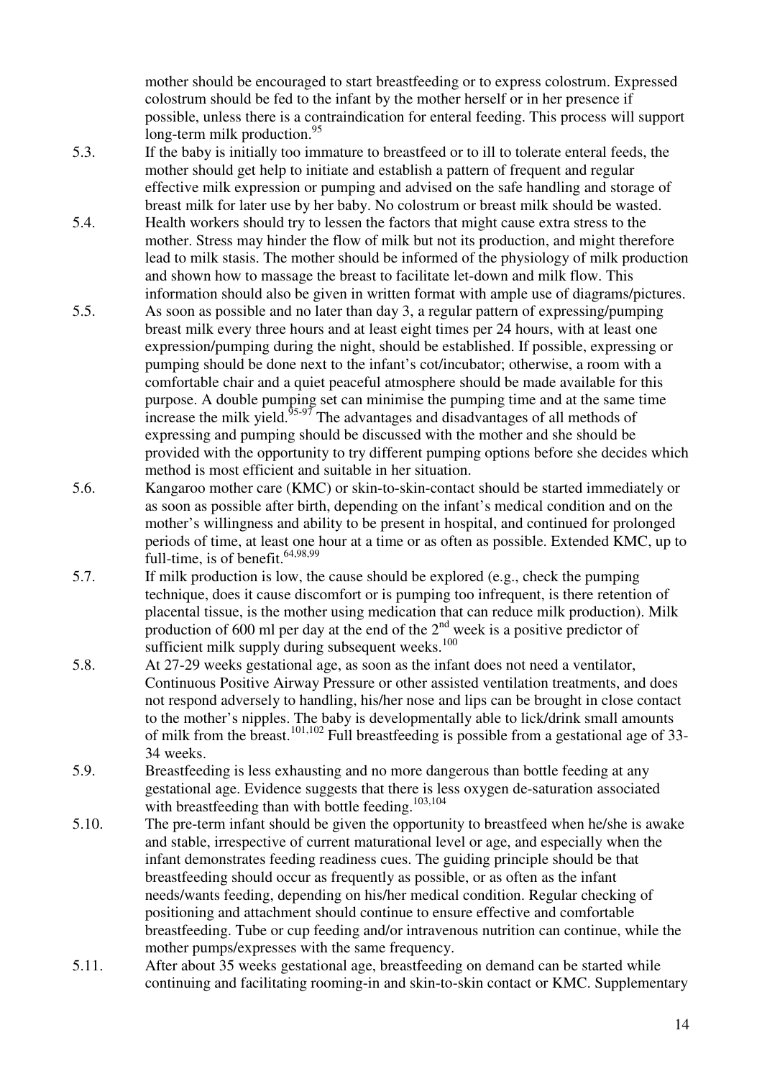mother should be encouraged to start breastfeeding or to express colostrum. Expressed colostrum should be fed to the infant by the mother herself or in her presence if possible, unless there is a contraindication for enteral feeding. This process will support long-term milk production. $95$ 

- 5.3. If the baby is initially too immature to breastfeed or to ill to tolerate enteral feeds, the mother should get help to initiate and establish a pattern of frequent and regular effective milk expression or pumping and advised on the safe handling and storage of breast milk for later use by her baby. No colostrum or breast milk should be wasted.
- 5.4. Health workers should try to lessen the factors that might cause extra stress to the mother. Stress may hinder the flow of milk but not its production, and might therefore lead to milk stasis. The mother should be informed of the physiology of milk production and shown how to massage the breast to facilitate let-down and milk flow. This information should also be given in written format with ample use of diagrams/pictures.
- 5.5. As soon as possible and no later than day 3, a regular pattern of expressing/pumping breast milk every three hours and at least eight times per 24 hours, with at least one expression/pumping during the night, should be established. If possible, expressing or pumping should be done next to the infant's cot/incubator; otherwise, a room with a comfortable chair and a quiet peaceful atmosphere should be made available for this purpose. A double pumping set can minimise the pumping time and at the same time increase the milk yield. $\frac{95-97}{95-97}$  The advantages and disadvantages of all methods of expressing and pumping should be discussed with the mother and she should be provided with the opportunity to try different pumping options before she decides which method is most efficient and suitable in her situation.
- 5.6. Kangaroo mother care (KMC) or skin-to-skin-contact should be started immediately or as soon as possible after birth, depending on the infant's medical condition and on the mother's willingness and ability to be present in hospital, and continued for prolonged periods of time, at least one hour at a time or as often as possible. Extended KMC, up to full-time, is of benefit.<sup>64,98,99</sup>
- 5.7. If milk production is low, the cause should be explored (e.g., check the pumping technique, does it cause discomfort or is pumping too infrequent, is there retention of placental tissue, is the mother using medication that can reduce milk production). Milk production of 600 ml per day at the end of the  $2<sup>nd</sup>$  week is a positive predictor of sufficient milk supply during subsequent weeks.<sup>100</sup>
- 5.8. At 27-29 weeks gestational age, as soon as the infant does not need a ventilator, Continuous Positive Airway Pressure or other assisted ventilation treatments, and does not respond adversely to handling, his/her nose and lips can be brought in close contact to the mother's nipples. The baby is developmentally able to lick/drink small amounts of milk from the breast.<sup>101,102</sup> Full breastfeeding is possible from a gestational age of 33-34 weeks.
- 5.9. Breastfeeding is less exhausting and no more dangerous than bottle feeding at any gestational age. Evidence suggests that there is less oxygen de-saturation associated with breastfeeding than with bottle feeding.<sup>103,104</sup>
- 5.10. The pre-term infant should be given the opportunity to breastfeed when he/she is awake and stable, irrespective of current maturational level or age, and especially when the infant demonstrates feeding readiness cues. The guiding principle should be that breastfeeding should occur as frequently as possible, or as often as the infant needs/wants feeding, depending on his/her medical condition. Regular checking of positioning and attachment should continue to ensure effective and comfortable breastfeeding. Tube or cup feeding and/or intravenous nutrition can continue, while the mother pumps/expresses with the same frequency.
- 5.11. After about 35 weeks gestational age, breastfeeding on demand can be started while continuing and facilitating rooming-in and skin-to-skin contact or KMC. Supplementary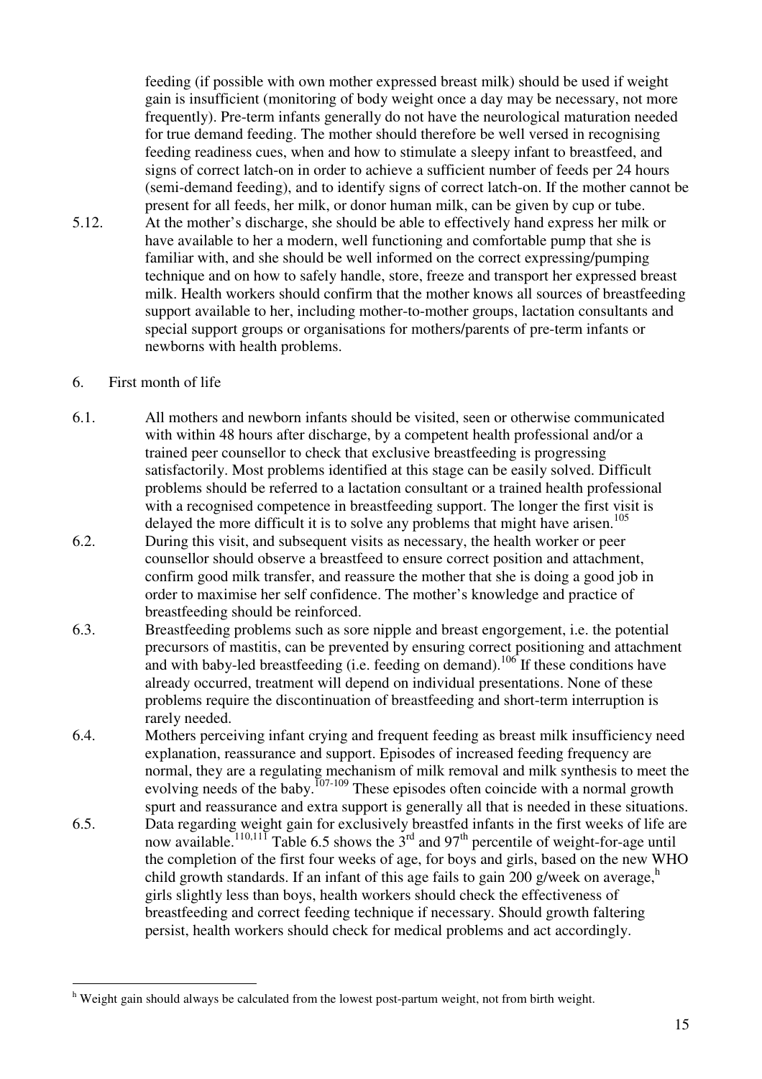feeding (if possible with own mother expressed breast milk) should be used if weight gain is insufficient (monitoring of body weight once a day may be necessary, not more frequently). Pre-term infants generally do not have the neurological maturation needed for true demand feeding. The mother should therefore be well versed in recognising feeding readiness cues, when and how to stimulate a sleepy infant to breastfeed, and signs of correct latch-on in order to achieve a sufficient number of feeds per 24 hours (semi-demand feeding), and to identify signs of correct latch-on. If the mother cannot be present for all feeds, her milk, or donor human milk, can be given by cup or tube.

5.12. At the mother's discharge, she should be able to effectively hand express her milk or have available to her a modern, well functioning and comfortable pump that she is familiar with, and she should be well informed on the correct expressing/pumping technique and on how to safely handle, store, freeze and transport her expressed breast milk. Health workers should confirm that the mother knows all sources of breastfeeding support available to her, including mother-to-mother groups, lactation consultants and special support groups or organisations for mothers/parents of pre-term infants or newborns with health problems.

#### 6. First month of life

 $\overline{a}$ 

- 6.1. All mothers and newborn infants should be visited, seen or otherwise communicated with within 48 hours after discharge, by a competent health professional and/or a trained peer counsellor to check that exclusive breastfeeding is progressing satisfactorily. Most problems identified at this stage can be easily solved. Difficult problems should be referred to a lactation consultant or a trained health professional with a recognised competence in breastfeeding support. The longer the first visit is delayed the more difficult it is to solve any problems that might have arisen.<sup>105</sup>
- 6.2. During this visit, and subsequent visits as necessary, the health worker or peer counsellor should observe a breastfeed to ensure correct position and attachment, confirm good milk transfer, and reassure the mother that she is doing a good job in order to maximise her self confidence. The mother's knowledge and practice of breastfeeding should be reinforced.
- 6.3. Breastfeeding problems such as sore nipple and breast engorgement, i.e. the potential precursors of mastitis, can be prevented by ensuring correct positioning and attachment and with baby-led breastfeeding (i.e. feeding on demand).<sup>106</sup> If these conditions have already occurred, treatment will depend on individual presentations. None of these problems require the discontinuation of breastfeeding and short-term interruption is rarely needed.
- 6.4. Mothers perceiving infant crying and frequent feeding as breast milk insufficiency need explanation, reassurance and support. Episodes of increased feeding frequency are normal, they are a regulating mechanism of milk removal and milk synthesis to meet the evolving needs of the baby.<sup>107-109</sup> These episodes often coincide with a normal growth
- spurt and reassurance and extra support is generally all that is needed in these situations. 6.5. Data regarding weight gain for exclusively breastfed infants in the first weeks of life are now available.<sup>110,111</sup> Table 6.5 shows the  $3^{rd}$  and 97<sup>th</sup> percentile of weight-for-age until the completion of the first four weeks of age, for boys and girls, based on the new WHO child growth standards. If an infant of this age fails to gain 200 g/week on average, $^h$ girls slightly less than boys, health workers should check the effectiveness of breastfeeding and correct feeding technique if necessary. Should growth faltering persist, health workers should check for medical problems and act accordingly.

<sup>&</sup>lt;sup>h</sup> Weight gain should always be calculated from the lowest post-partum weight, not from birth weight.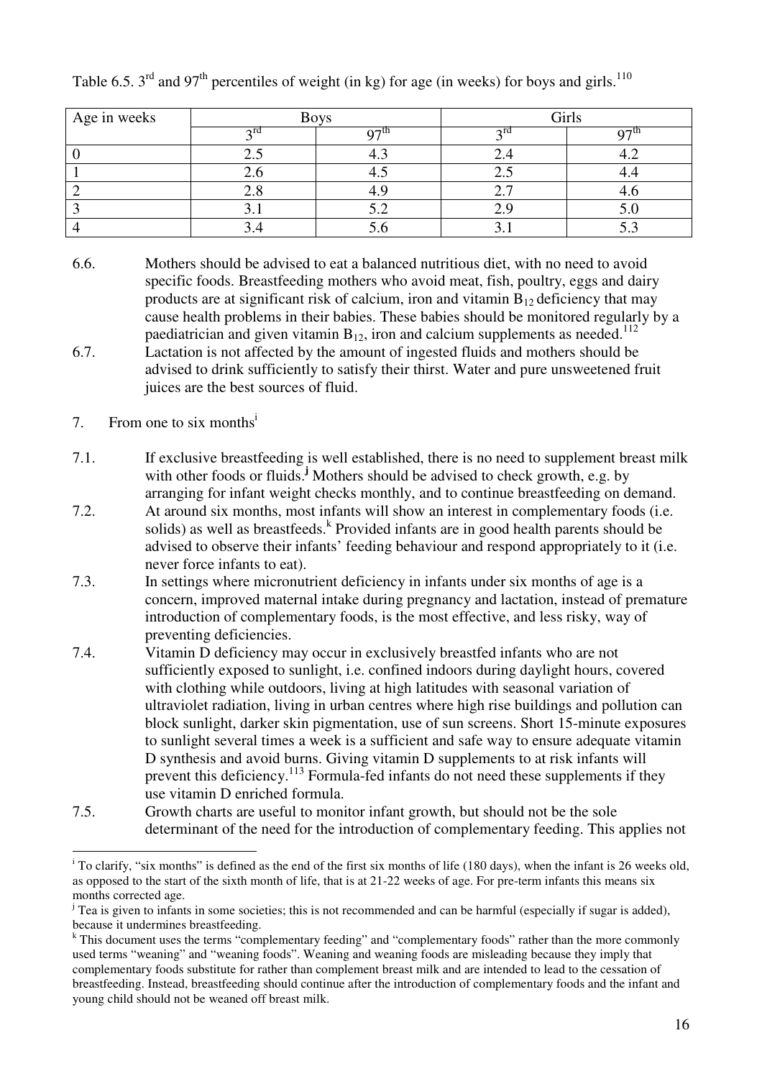| Age in weeks | <b>Boys</b> |        | Girls           |    |
|--------------|-------------|--------|-----------------|----|
|              | $\gamma$ rd | $\sim$ |                 | ⌒冖 |
|              | ل . ک       |        | ∠.⊣             |    |
|              | Z.O         |        | $\sim$ . $\sim$ |    |
|              | $\angle$ .0 |        |                 |    |
|              | J.I         | ے . د  |                 |    |
|              | J.H         |        |                 |    |

Table 6.5.  $3^{\text{rd}}$  and 97<sup>th</sup> percentiles of weight (in kg) for age (in weeks) for boys and girls.<sup>110</sup>

6.6. Mothers should be advised to eat a balanced nutritious diet, with no need to avoid specific foods. Breastfeeding mothers who avoid meat, fish, poultry, eggs and dairy products are at significant risk of calcium, iron and vitamin  $B_{12}$  deficiency that may cause health problems in their babies. These babies should be monitored regularly by a paediatrician and given vitamin  $B_{12}$ , iron and calcium supplements as needed.<sup>112</sup> 6.7. Lactation is not affected by the amount of ingested fluids and mothers should be advised to drink sufficiently to satisfy their thirst. Water and pure unsweetened fruit juices are the best sources of fluid.

#### 7. From one to six months<sup>i</sup>

- 7.1. If exclusive breastfeeding is well established, there is no need to supplement breast milk with other foods or fluids.<sup>*j*</sup> Mothers should be advised to check growth, e.g. by arranging for infant weight checks monthly, and to continue breastfeeding on demand.
- 7.2. At around six months, most infants will show an interest in complementary foods (i.e. solids) as well as breastfeeds. <sup>k</sup> Provided infants are in good health parents should be advised to observe their infants' feeding behaviour and respond appropriately to it (i.e. never force infants to eat).
- 7.3. In settings where micronutrient deficiency in infants under six months of age is a concern, improved maternal intake during pregnancy and lactation, instead of premature introduction of complementary foods, is the most effective, and less risky, way of preventing deficiencies.
- 7.4. Vitamin D deficiency may occur in exclusively breastfed infants who are not sufficiently exposed to sunlight, i.e. confined indoors during daylight hours, covered with clothing while outdoors, living at high latitudes with seasonal variation of ultraviolet radiation, living in urban centres where high rise buildings and pollution can block sunlight, darker skin pigmentation, use of sun screens. Short 15-minute exposures to sunlight several times a week is a sufficient and safe way to ensure adequate vitamin D synthesis and avoid burns. Giving vitamin D supplements to at risk infants will prevent this deficiency.<sup>113</sup> Formula-fed infants do not need these supplements if they use vitamin D enriched formula.
- 7.5. Growth charts are useful to monitor infant growth, but should not be the sole determinant of the need for the introduction of complementary feeding. This applies not

<sup>&</sup>lt;sup>i</sup> To clarify, "six months" is defined as the end of the first six months of life (180 days), when the infant is 26 weeks old, as opposed to the start of the sixth month of life, that is at 21-22 weeks of age. For pre-term infants this means six months corrected age.

 $\mu$ <sup>i</sup> Tea is given to infants in some societies; this is not recommended and can be harmful (especially if sugar is added), because it undermines breastfeeding.

<sup>&</sup>lt;sup>k</sup> This document uses the terms "complementary feeding" and "complementary foods" rather than the more commonly used terms "weaning" and "weaning foods". Weaning and weaning foods are misleading because they imply that complementary foods substitute for rather than complement breast milk and are intended to lead to the cessation of breastfeeding. Instead, breastfeeding should continue after the introduction of complementary foods and the infant and young child should not be weaned off breast milk.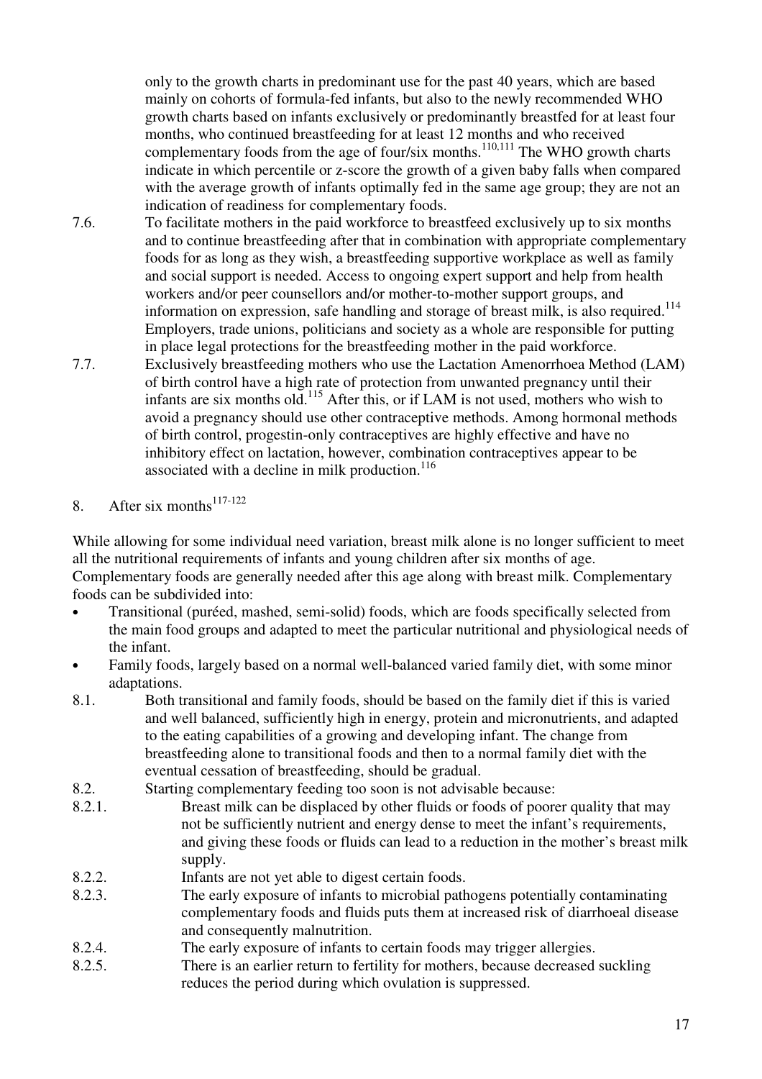only to the growth charts in predominant use for the past 40 years, which are based mainly on cohorts of formula-fed infants, but also to the newly recommended WHO growth charts based on infants exclusively or predominantly breastfed for at least four months, who continued breastfeeding for at least 12 months and who received complementary foods from the age of four/six months.<sup>110,111</sup> The WHO growth charts indicate in which percentile or z-score the growth of a given baby falls when compared with the average growth of infants optimally fed in the same age group; they are not an indication of readiness for complementary foods.

- 7.6. To facilitate mothers in the paid workforce to breastfeed exclusively up to six months and to continue breastfeeding after that in combination with appropriate complementary foods for as long as they wish, a breastfeeding supportive workplace as well as family and social support is needed. Access to ongoing expert support and help from health workers and/or peer counsellors and/or mother-to-mother support groups, and information on expression, safe handling and storage of breast milk, is also required.<sup>114</sup> Employers, trade unions, politicians and society as a whole are responsible for putting in place legal protections for the breastfeeding mother in the paid workforce.
- 7.7. Exclusively breastfeeding mothers who use the Lactation Amenorrhoea Method (LAM) of birth control have a high rate of protection from unwanted pregnancy until their infants are six months old.<sup>115</sup> After this, or if LAM is not used, mothers who wish to avoid a pregnancy should use other contraceptive methods. Among hormonal methods of birth control, progestin-only contraceptives are highly effective and have no inhibitory effect on lactation, however, combination contraceptives appear to be associated with a decline in milk production. $116$
- 8. After six months<sup>117-122</sup>

While allowing for some individual need variation, breast milk alone is no longer sufficient to meet all the nutritional requirements of infants and young children after six months of age. Complementary foods are generally needed after this age along with breast milk. Complementary foods can be subdivided into:

- Transitional (puréed, mashed, semi-solid) foods, which are foods specifically selected from the main food groups and adapted to meet the particular nutritional and physiological needs of the infant.
- Family foods, largely based on a normal well-balanced varied family diet, with some minor adaptations.
- 8.1. Both transitional and family foods, should be based on the family diet if this is varied and well balanced, sufficiently high in energy, protein and micronutrients, and adapted to the eating capabilities of a growing and developing infant. The change from breastfeeding alone to transitional foods and then to a normal family diet with the eventual cessation of breastfeeding, should be gradual.
- 8.2. Starting complementary feeding too soon is not advisable because:
- 8.2.1. Breast milk can be displaced by other fluids or foods of poorer quality that may not be sufficiently nutrient and energy dense to meet the infant's requirements, and giving these foods or fluids can lead to a reduction in the mother's breast milk supply.
- 8.2.2. Infants are not yet able to digest certain foods.
- 8.2.3. The early exposure of infants to microbial pathogens potentially contaminating complementary foods and fluids puts them at increased risk of diarrhoeal disease and consequently malnutrition.
- 8.2.4. The early exposure of infants to certain foods may trigger allergies.
- 8.2.5. There is an earlier return to fertility for mothers, because decreased suckling reduces the period during which ovulation is suppressed.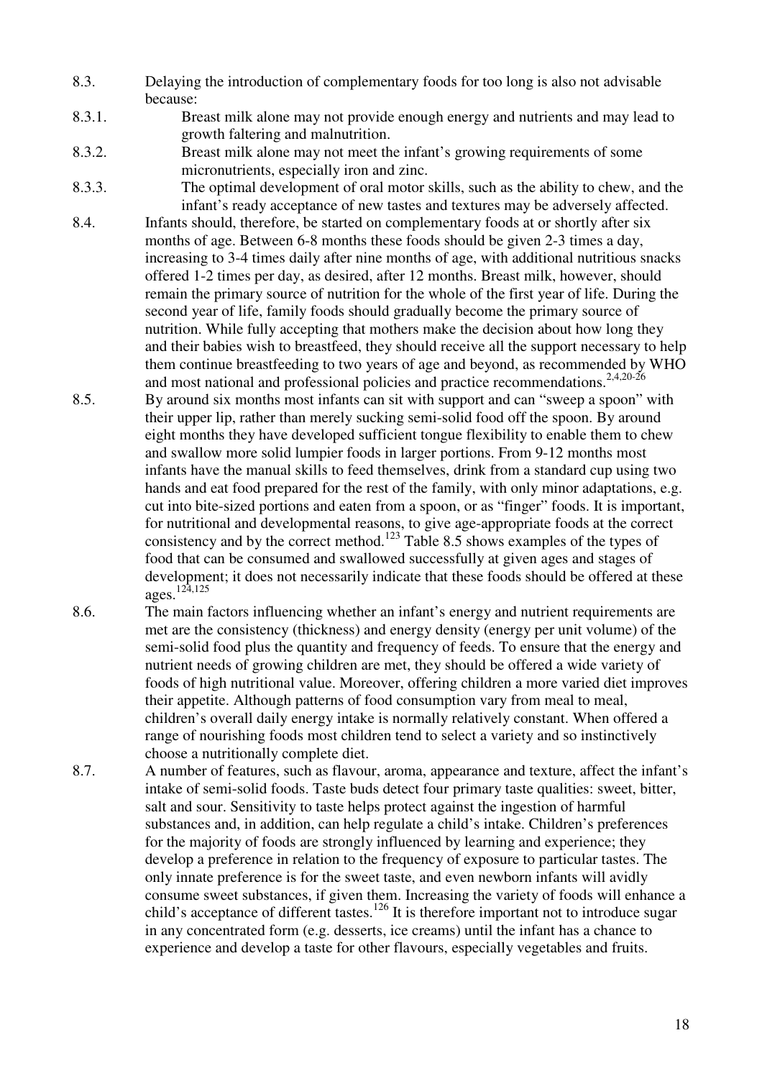- 8.3. Delaying the introduction of complementary foods for too long is also not advisable because:
- 8.3.1. Breast milk alone may not provide enough energy and nutrients and may lead to growth faltering and malnutrition.
- 8.3.2. Breast milk alone may not meet the infant's growing requirements of some micronutrients, especially iron and zinc.
- 8.3.3. The optimal development of oral motor skills, such as the ability to chew, and the infant's ready acceptance of new tastes and textures may be adversely affected.
- 8.4. Infants should, therefore, be started on complementary foods at or shortly after six months of age. Between 6-8 months these foods should be given 2-3 times a day, increasing to 3-4 times daily after nine months of age, with additional nutritious snacks offered 1-2 times per day, as desired, after 12 months. Breast milk, however, should remain the primary source of nutrition for the whole of the first year of life. During the second year of life, family foods should gradually become the primary source of nutrition. While fully accepting that mothers make the decision about how long they and their babies wish to breastfeed, they should receive all the support necessary to help them continue breastfeeding to two years of age and beyond, as recommended by WHO and most national and professional policies and practice recommendations.<sup>2,4,20-26</sup>
- 8.5. By around six months most infants can sit with support and can "sweep a spoon" with their upper lip, rather than merely sucking semi-solid food off the spoon. By around eight months they have developed sufficient tongue flexibility to enable them to chew and swallow more solid lumpier foods in larger portions. From 9-12 months most infants have the manual skills to feed themselves, drink from a standard cup using two hands and eat food prepared for the rest of the family, with only minor adaptations, e.g. cut into bite-sized portions and eaten from a spoon, or as "finger" foods. It is important, for nutritional and developmental reasons, to give age-appropriate foods at the correct consistency and by the correct method.<sup>123</sup> Table 8.5 shows examples of the types of food that can be consumed and swallowed successfully at given ages and stages of development; it does not necessarily indicate that these foods should be offered at these ages.124,125
- 8.6. The main factors influencing whether an infant's energy and nutrient requirements are met are the consistency (thickness) and energy density (energy per unit volume) of the semi-solid food plus the quantity and frequency of feeds. To ensure that the energy and nutrient needs of growing children are met, they should be offered a wide variety of foods of high nutritional value. Moreover, offering children a more varied diet improves their appetite. Although patterns of food consumption vary from meal to meal, children's overall daily energy intake is normally relatively constant. When offered a range of nourishing foods most children tend to select a variety and so instinctively choose a nutritionally complete diet.
- 8.7. A number of features, such as flavour, aroma, appearance and texture, affect the infant's intake of semi-solid foods. Taste buds detect four primary taste qualities: sweet, bitter, salt and sour. Sensitivity to taste helps protect against the ingestion of harmful substances and, in addition, can help regulate a child's intake. Children's preferences for the majority of foods are strongly influenced by learning and experience; they develop a preference in relation to the frequency of exposure to particular tastes. The only innate preference is for the sweet taste, and even newborn infants will avidly consume sweet substances, if given them. Increasing the variety of foods will enhance a child's acceptance of different tastes.<sup>126</sup> It is therefore important not to introduce sugar in any concentrated form (e.g. desserts, ice creams) until the infant has a chance to experience and develop a taste for other flavours, especially vegetables and fruits.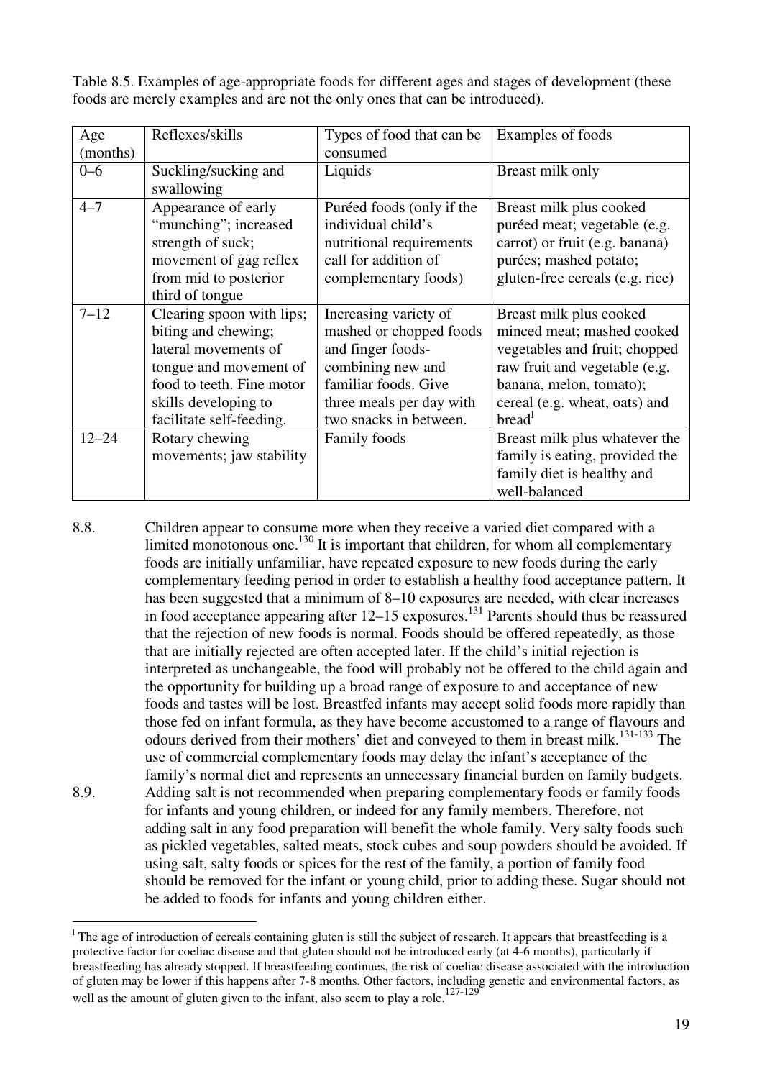Table 8.5. Examples of age-appropriate foods for different ages and stages of development (these foods are merely examples and are not the only ones that can be introduced).

| Age<br>(months) | Reflexes/skills                                                                                                                                                                     | Types of food that can be<br>consumed                                                                                                                                    | Examples of foods                                                                                                                                                                                         |
|-----------------|-------------------------------------------------------------------------------------------------------------------------------------------------------------------------------------|--------------------------------------------------------------------------------------------------------------------------------------------------------------------------|-----------------------------------------------------------------------------------------------------------------------------------------------------------------------------------------------------------|
| $0 - 6$         | Suckling/sucking and<br>swallowing                                                                                                                                                  | Liquids                                                                                                                                                                  | Breast milk only                                                                                                                                                                                          |
| $4 - 7$         | Appearance of early<br>"munching"; increased<br>strength of suck;<br>movement of gag reflex<br>from mid to posterior<br>third of tongue                                             | Puréed foods (only if the<br>individual child's<br>nutritional requirements<br>call for addition of<br>complementary foods)                                              | Breast milk plus cooked<br>puréed meat; vegetable (e.g.<br>carrot) or fruit (e.g. banana)<br>purées; mashed potato;<br>gluten-free cereals (e.g. rice)                                                    |
| $7 - 12$        | Clearing spoon with lips;<br>biting and chewing;<br>lateral movements of<br>tongue and movement of<br>food to teeth. Fine motor<br>skills developing to<br>facilitate self-feeding. | Increasing variety of<br>mashed or chopped foods<br>and finger foods-<br>combining new and<br>familiar foods. Give<br>three meals per day with<br>two snacks in between. | Breast milk plus cooked<br>minced meat; mashed cooked<br>vegetables and fruit; chopped<br>raw fruit and vegetable (e.g.<br>banana, melon, tomato);<br>cereal (e.g. wheat, oats) and<br>bread <sup>1</sup> |
| $12 - 24$       | Rotary chewing<br>movements; jaw stability                                                                                                                                          | Family foods                                                                                                                                                             | Breast milk plus whatever the<br>family is eating, provided the<br>family diet is healthy and<br>well-balanced                                                                                            |

8.8. Children appear to consume more when they receive a varied diet compared with a limited monotonous one.<sup>130</sup> It is important that children, for whom all complementary foods are initially unfamiliar, have repeated exposure to new foods during the early complementary feeding period in order to establish a healthy food acceptance pattern. It has been suggested that a minimum of 8–10 exposures are needed, with clear increases in food acceptance appearing after  $12-15$  exposures.<sup>131</sup> Parents should thus be reassured that the rejection of new foods is normal. Foods should be offered repeatedly, as those that are initially rejected are often accepted later. If the child's initial rejection is interpreted as unchangeable, the food will probably not be offered to the child again and the opportunity for building up a broad range of exposure to and acceptance of new foods and tastes will be lost. Breastfed infants may accept solid foods more rapidly than those fed on infant formula, as they have become accustomed to a range of flavours and odours derived from their mothers' diet and conveyed to them in breast milk.<sup>131-133</sup> The use of commercial complementary foods may delay the infant's acceptance of the family's normal diet and represents an unnecessary financial burden on family budgets. 8.9. Adding salt is not recommended when preparing complementary foods or family foods for infants and young children, or indeed for any family members. Therefore, not adding salt in any food preparation will benefit the whole family. Very salty foods such as pickled vegetables, salted meats, stock cubes and soup powders should be avoided. If using salt, salty foods or spices for the rest of the family, a portion of family food should be removed for the infant or young child, prior to adding these. Sugar should not be added to foods for infants and young children either.

<sup>&</sup>lt;sup>1</sup> The age of introduction of cereals containing gluten is still the subject of research. It appears that breastfeeding is a protective factor for coeliac disease and that gluten should not be introduced early (at 4-6 months), particularly if breastfeeding has already stopped. If breastfeeding continues, the risk of coeliac disease associated with the introduction of gluten may be lower if this happens after 7-8 months. Other factors, including genetic and environmental factors, as well as the amount of gluten given to the infant, also seem to play a role.<sup>127-129</sup>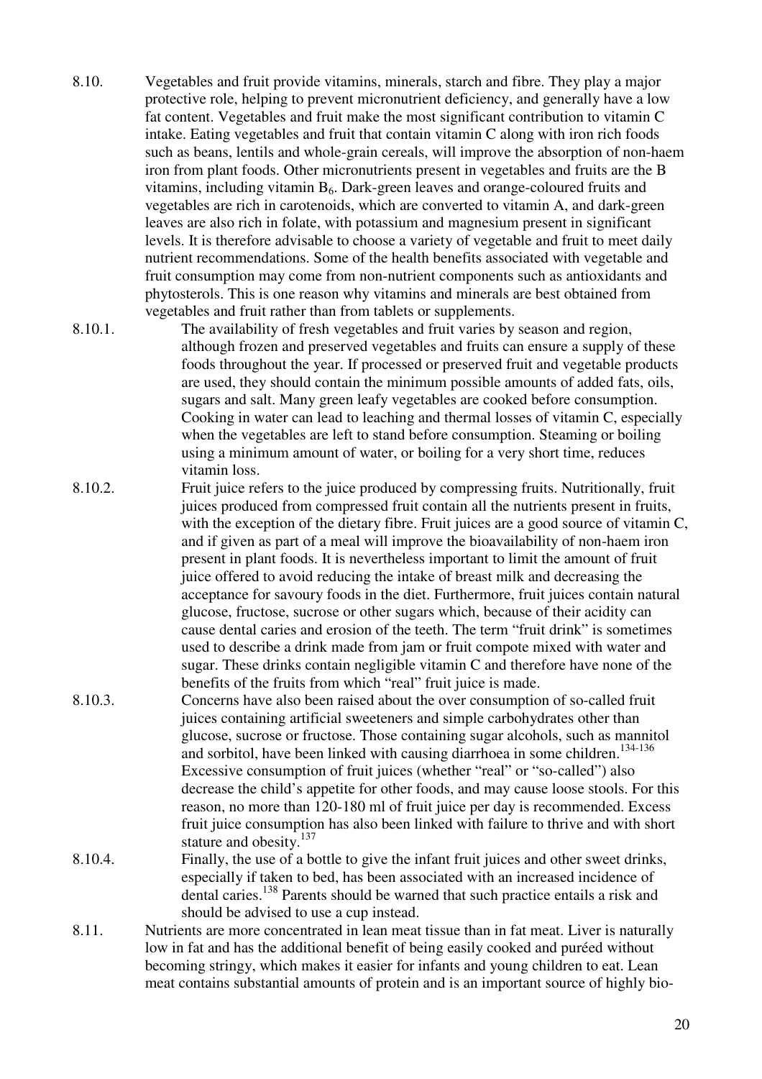- 8.10. Vegetables and fruit provide vitamins, minerals, starch and fibre. They play a major protective role, helping to prevent micronutrient deficiency, and generally have a low fat content. Vegetables and fruit make the most significant contribution to vitamin C intake. Eating vegetables and fruit that contain vitamin C along with iron rich foods such as beans, lentils and whole-grain cereals, will improve the absorption of non-haem iron from plant foods. Other micronutrients present in vegetables and fruits are the B vitamins, including vitamin  $B_6$ . Dark-green leaves and orange-coloured fruits and vegetables are rich in carotenoids, which are converted to vitamin A, and dark-green leaves are also rich in folate, with potassium and magnesium present in significant levels. It is therefore advisable to choose a variety of vegetable and fruit to meet daily nutrient recommendations. Some of the health benefits associated with vegetable and fruit consumption may come from non-nutrient components such as antioxidants and phytosterols. This is one reason why vitamins and minerals are best obtained from vegetables and fruit rather than from tablets or supplements.
- 8.10.1. The availability of fresh vegetables and fruit varies by season and region, although frozen and preserved vegetables and fruits can ensure a supply of these foods throughout the year. If processed or preserved fruit and vegetable products are used, they should contain the minimum possible amounts of added fats, oils, sugars and salt. Many green leafy vegetables are cooked before consumption. Cooking in water can lead to leaching and thermal losses of vitamin C, especially when the vegetables are left to stand before consumption. Steaming or boiling using a minimum amount of water, or boiling for a very short time, reduces vitamin loss.
- 8.10.2. Fruit juice refers to the juice produced by compressing fruits. Nutritionally, fruit juices produced from compressed fruit contain all the nutrients present in fruits, with the exception of the dietary fibre. Fruit juices are a good source of vitamin C, and if given as part of a meal will improve the bioavailability of non-haem iron present in plant foods. It is nevertheless important to limit the amount of fruit juice offered to avoid reducing the intake of breast milk and decreasing the acceptance for savoury foods in the diet. Furthermore, fruit juices contain natural glucose, fructose, sucrose or other sugars which, because of their acidity can cause dental caries and erosion of the teeth. The term "fruit drink" is sometimes used to describe a drink made from jam or fruit compote mixed with water and sugar. These drinks contain negligible vitamin C and therefore have none of the benefits of the fruits from which "real" fruit juice is made.
- 8.10.3. Concerns have also been raised about the over consumption of so-called fruit juices containing artificial sweeteners and simple carbohydrates other than glucose, sucrose or fructose. Those containing sugar alcohols, such as mannitol and sorbitol, have been linked with causing diarrhoea in some children.<sup>134-136</sup> Excessive consumption of fruit juices (whether "real" or "so-called") also decrease the child's appetite for other foods, and may cause loose stools. For this reason, no more than 120-180 ml of fruit juice per day is recommended. Excess fruit juice consumption has also been linked with failure to thrive and with short stature and obesity.<sup>137</sup>
- 8.10.4. Finally, the use of a bottle to give the infant fruit juices and other sweet drinks, especially if taken to bed, has been associated with an increased incidence of dental caries.<sup>138</sup> Parents should be warned that such practice entails a risk and should be advised to use a cup instead.
- 8.11. Nutrients are more concentrated in lean meat tissue than in fat meat. Liver is naturally low in fat and has the additional benefit of being easily cooked and puréed without becoming stringy, which makes it easier for infants and young children to eat. Lean meat contains substantial amounts of protein and is an important source of highly bio-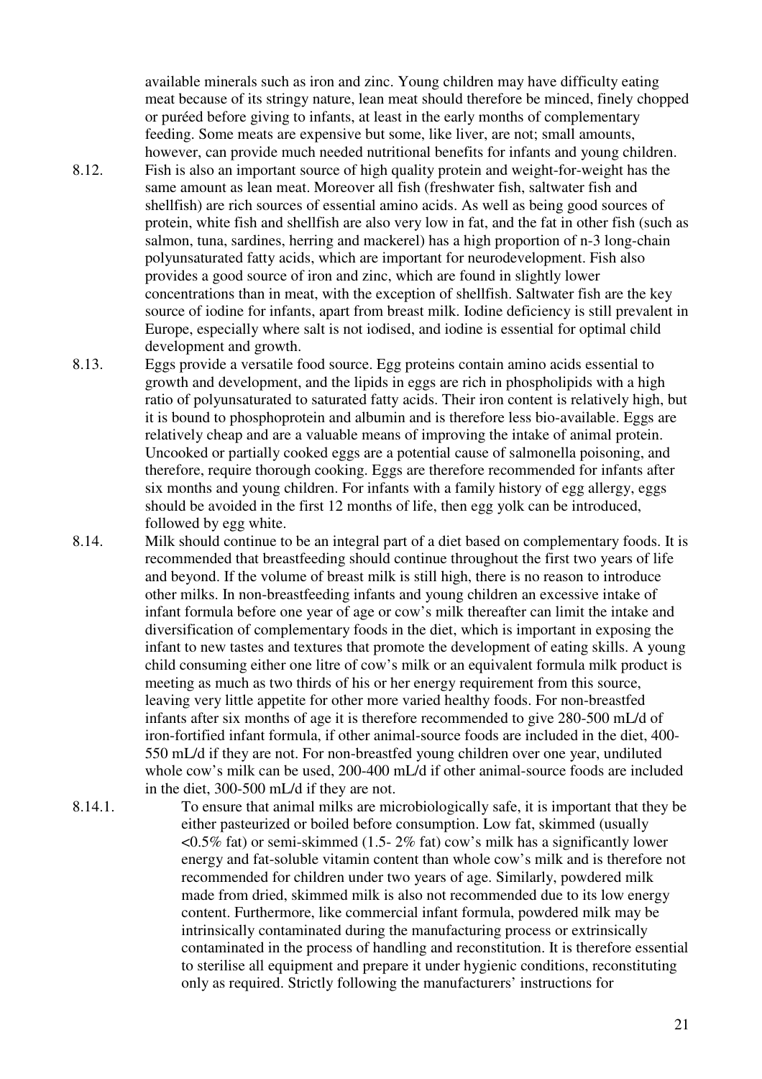available minerals such as iron and zinc. Young children may have difficulty eating meat because of its stringy nature, lean meat should therefore be minced, finely chopped or puréed before giving to infants, at least in the early months of complementary feeding. Some meats are expensive but some, like liver, are not; small amounts, however, can provide much needed nutritional benefits for infants and young children.

- 8.12. Fish is also an important source of high quality protein and weight-for-weight has the same amount as lean meat. Moreover all fish (freshwater fish, saltwater fish and shellfish) are rich sources of essential amino acids. As well as being good sources of protein, white fish and shellfish are also very low in fat, and the fat in other fish (such as salmon, tuna, sardines, herring and mackerel) has a high proportion of n-3 long-chain polyunsaturated fatty acids, which are important for neurodevelopment. Fish also provides a good source of iron and zinc, which are found in slightly lower concentrations than in meat, with the exception of shellfish. Saltwater fish are the key source of iodine for infants, apart from breast milk. Iodine deficiency is still prevalent in Europe, especially where salt is not iodised, and iodine is essential for optimal child development and growth.
- 8.13. Eggs provide a versatile food source. Egg proteins contain amino acids essential to growth and development, and the lipids in eggs are rich in phospholipids with a high ratio of polyunsaturated to saturated fatty acids. Their iron content is relatively high, but it is bound to phosphoprotein and albumin and is therefore less bio-available. Eggs are relatively cheap and are a valuable means of improving the intake of animal protein. Uncooked or partially cooked eggs are a potential cause of salmonella poisoning, and therefore, require thorough cooking. Eggs are therefore recommended for infants after six months and young children. For infants with a family history of egg allergy, eggs should be avoided in the first 12 months of life, then egg yolk can be introduced, followed by egg white.
- 8.14. Milk should continue to be an integral part of a diet based on complementary foods. It is recommended that breastfeeding should continue throughout the first two years of life and beyond. If the volume of breast milk is still high, there is no reason to introduce other milks. In non-breastfeeding infants and young children an excessive intake of infant formula before one year of age or cow's milk thereafter can limit the intake and diversification of complementary foods in the diet, which is important in exposing the infant to new tastes and textures that promote the development of eating skills. A young child consuming either one litre of cow's milk or an equivalent formula milk product is meeting as much as two thirds of his or her energy requirement from this source, leaving very little appetite for other more varied healthy foods. For non-breastfed infants after six months of age it is therefore recommended to give 280-500 mL/d of iron-fortified infant formula, if other animal-source foods are included in the diet, 400- 550 mL/d if they are not. For non-breastfed young children over one year, undiluted whole cow's milk can be used, 200-400 mL/d if other animal-source foods are included in the diet, 300-500 mL/d if they are not.
- 8.14.1. To ensure that animal milks are microbiologically safe, it is important that they be either pasteurized or boiled before consumption. Low fat, skimmed (usually  $\leq 0.5\%$  fat) or semi-skimmed (1.5-2% fat) cow's milk has a significantly lower energy and fat-soluble vitamin content than whole cow's milk and is therefore not recommended for children under two years of age. Similarly, powdered milk made from dried, skimmed milk is also not recommended due to its low energy content. Furthermore, like commercial infant formula, powdered milk may be intrinsically contaminated during the manufacturing process or extrinsically contaminated in the process of handling and reconstitution. It is therefore essential to sterilise all equipment and prepare it under hygienic conditions, reconstituting only as required. Strictly following the manufacturers' instructions for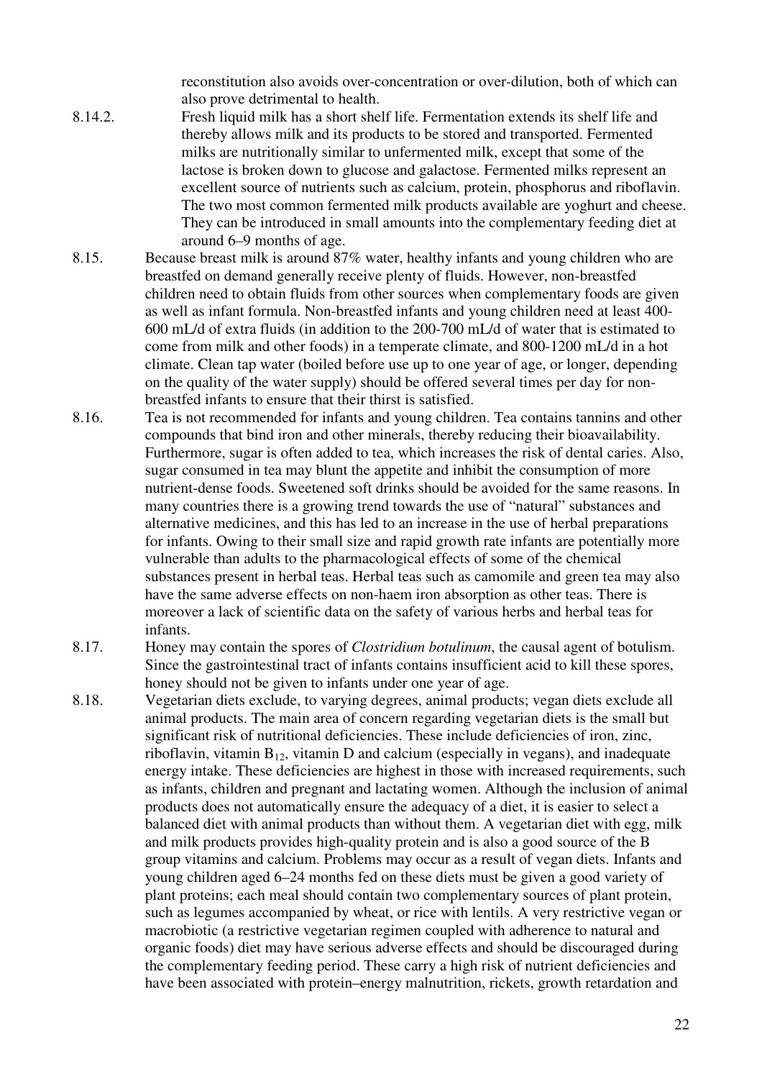reconstitution also avoids over-concentration or over-dilution, both of which can also prove detrimental to health.

- 8.14.2. Fresh liquid milk has a short shelf life. Fermentation extends its shelf life and thereby allows milk and its products to be stored and transported. Fermented milks are nutritionally similar to unfermented milk, except that some of the lactose is broken down to glucose and galactose. Fermented milks represent an excellent source of nutrients such as calcium, protein, phosphorus and riboflavin. The two most common fermented milk products available are yoghurt and cheese. They can be introduced in small amounts into the complementary feeding diet at around 6–9 months of age.
- 8.15. Because breast milk is around 87% water, healthy infants and young children who are breastfed on demand generally receive plenty of fluids. However, non-breastfed children need to obtain fluids from other sources when complementary foods are given as well as infant formula. Non-breastfed infants and young children need at least 400- 600 mL/d of extra fluids (in addition to the 200-700 mL/d of water that is estimated to come from milk and other foods) in a temperate climate, and 800-1200 mL/d in a hot climate. Clean tap water (boiled before use up to one year of age, or longer, depending on the quality of the water supply) should be offered several times per day for nonbreastfed infants to ensure that their thirst is satisfied.
- 8.16. Tea is not recommended for infants and young children. Tea contains tannins and other compounds that bind iron and other minerals, thereby reducing their bioavailability. Furthermore, sugar is often added to tea, which increases the risk of dental caries. Also, sugar consumed in tea may blunt the appetite and inhibit the consumption of more nutrient-dense foods. Sweetened soft drinks should be avoided for the same reasons. In many countries there is a growing trend towards the use of "natural" substances and alternative medicines, and this has led to an increase in the use of herbal preparations for infants. Owing to their small size and rapid growth rate infants are potentially more vulnerable than adults to the pharmacological effects of some of the chemical substances present in herbal teas. Herbal teas such as camomile and green tea may also have the same adverse effects on non-haem iron absorption as other teas. There is moreover a lack of scientific data on the safety of various herbs and herbal teas for infants.
- 8.17. Honey may contain the spores of *Clostridium botulinum*, the causal agent of botulism. Since the gastrointestinal tract of infants contains insufficient acid to kill these spores, honey should not be given to infants under one year of age.
- 8.18. Vegetarian diets exclude, to varying degrees, animal products; vegan diets exclude all animal products. The main area of concern regarding vegetarian diets is the small but significant risk of nutritional deficiencies. These include deficiencies of iron, zinc, riboflavin, vitamin  $B_{12}$ , vitamin D and calcium (especially in vegans), and inadequate energy intake. These deficiencies are highest in those with increased requirements, such as infants, children and pregnant and lactating women. Although the inclusion of animal products does not automatically ensure the adequacy of a diet, it is easier to select a balanced diet with animal products than without them. A vegetarian diet with egg, milk and milk products provides high-quality protein and is also a good source of the B group vitamins and calcium. Problems may occur as a result of vegan diets. Infants and young children aged 6–24 months fed on these diets must be given a good variety of plant proteins; each meal should contain two complementary sources of plant protein, such as legumes accompanied by wheat, or rice with lentils. A very restrictive vegan or macrobiotic (a restrictive vegetarian regimen coupled with adherence to natural and organic foods) diet may have serious adverse effects and should be discouraged during the complementary feeding period. These carry a high risk of nutrient deficiencies and have been associated with protein–energy malnutrition, rickets, growth retardation and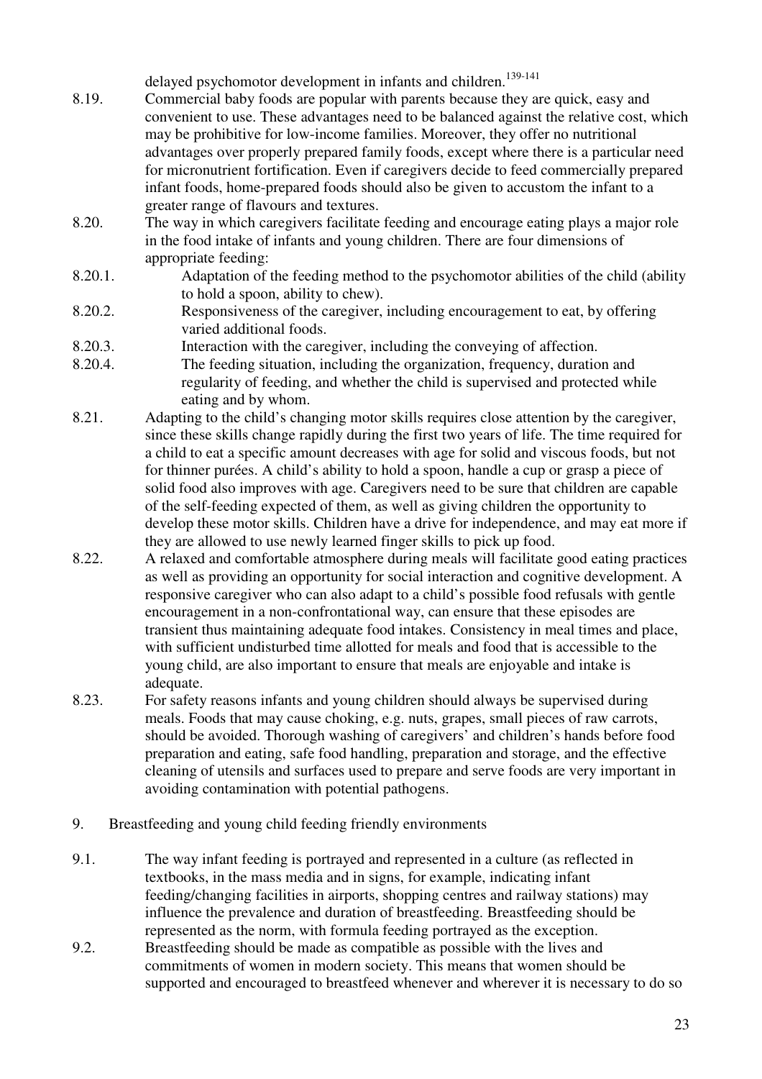delayed psychomotor development in infants and children.<sup>139-141</sup>

- 8.19. Commercial baby foods are popular with parents because they are quick, easy and convenient to use. These advantages need to be balanced against the relative cost, which may be prohibitive for low-income families. Moreover, they offer no nutritional advantages over properly prepared family foods, except where there is a particular need for micronutrient fortification. Even if caregivers decide to feed commercially prepared infant foods, home-prepared foods should also be given to accustom the infant to a greater range of flavours and textures.
- 8.20. The way in which caregivers facilitate feeding and encourage eating plays a major role in the food intake of infants and young children. There are four dimensions of appropriate feeding:
- 8.20.1. Adaptation of the feeding method to the psychomotor abilities of the child (ability to hold a spoon, ability to chew).
- 8.20.2. Responsiveness of the caregiver, including encouragement to eat, by offering varied additional foods.
- 8.20.3. Interaction with the caregiver, including the conveying of affection.
- 8.20.4. The feeding situation, including the organization, frequency, duration and regularity of feeding, and whether the child is supervised and protected while eating and by whom.
- 8.21. Adapting to the child's changing motor skills requires close attention by the caregiver, since these skills change rapidly during the first two years of life. The time required for a child to eat a specific amount decreases with age for solid and viscous foods, but not for thinner purées. A child's ability to hold a spoon, handle a cup or grasp a piece of solid food also improves with age. Caregivers need to be sure that children are capable of the self-feeding expected of them, as well as giving children the opportunity to develop these motor skills. Children have a drive for independence, and may eat more if they are allowed to use newly learned finger skills to pick up food.
- 8.22. A relaxed and comfortable atmosphere during meals will facilitate good eating practices as well as providing an opportunity for social interaction and cognitive development. A responsive caregiver who can also adapt to a child's possible food refusals with gentle encouragement in a non-confrontational way, can ensure that these episodes are transient thus maintaining adequate food intakes. Consistency in meal times and place, with sufficient undisturbed time allotted for meals and food that is accessible to the young child, are also important to ensure that meals are enjoyable and intake is adequate.
- 8.23. For safety reasons infants and young children should always be supervised during meals. Foods that may cause choking, e.g. nuts, grapes, small pieces of raw carrots, should be avoided. Thorough washing of caregivers' and children's hands before food preparation and eating, safe food handling, preparation and storage, and the effective cleaning of utensils and surfaces used to prepare and serve foods are very important in avoiding contamination with potential pathogens.
- 9. Breastfeeding and young child feeding friendly environments
- 9.1. The way infant feeding is portrayed and represented in a culture (as reflected in textbooks, in the mass media and in signs, for example, indicating infant feeding/changing facilities in airports, shopping centres and railway stations) may influence the prevalence and duration of breastfeeding. Breastfeeding should be represented as the norm, with formula feeding portrayed as the exception.
- 9.2. Breastfeeding should be made as compatible as possible with the lives and commitments of women in modern society. This means that women should be supported and encouraged to breastfeed whenever and wherever it is necessary to do so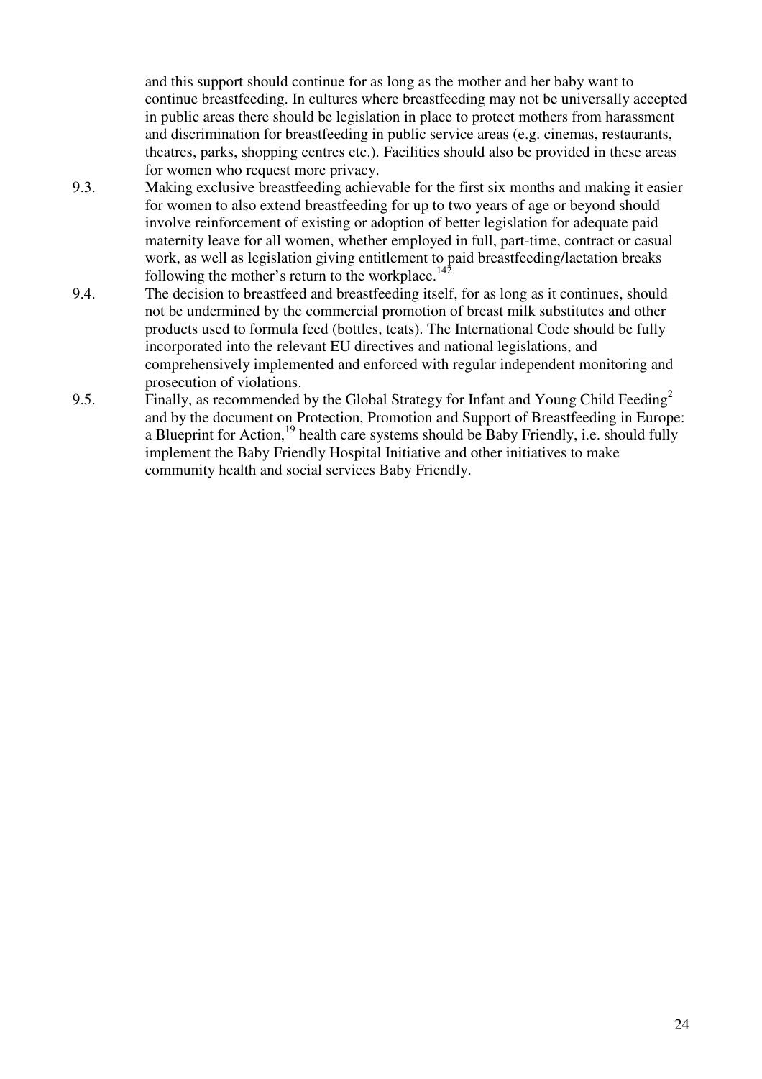and this support should continue for as long as the mother and her baby want to continue breastfeeding. In cultures where breastfeeding may not be universally accepted in public areas there should be legislation in place to protect mothers from harassment and discrimination for breastfeeding in public service areas (e.g. cinemas, restaurants, theatres, parks, shopping centres etc.). Facilities should also be provided in these areas for women who request more privacy.

- 9.3. Making exclusive breastfeeding achievable for the first six months and making it easier for women to also extend breastfeeding for up to two years of age or beyond should involve reinforcement of existing or adoption of better legislation for adequate paid maternity leave for all women, whether employed in full, part-time, contract or casual work, as well as legislation giving entitlement to paid breastfeeding/lactation breaks following the mother's return to the workplace.<sup>142</sup>
- 9.4. The decision to breastfeed and breastfeeding itself, for as long as it continues, should not be undermined by the commercial promotion of breast milk substitutes and other products used to formula feed (bottles, teats). The International Code should be fully incorporated into the relevant EU directives and national legislations, and comprehensively implemented and enforced with regular independent monitoring and prosecution of violations.
- 9.5. Finally, as recommended by the Global Strategy for Infant and Young Child Feeding<sup>2</sup> and by the document on Protection, Promotion and Support of Breastfeeding in Europe: a Blueprint for Action,  $^{19}$  health care systems should be Baby Friendly, i.e. should fully implement the Baby Friendly Hospital Initiative and other initiatives to make community health and social services Baby Friendly.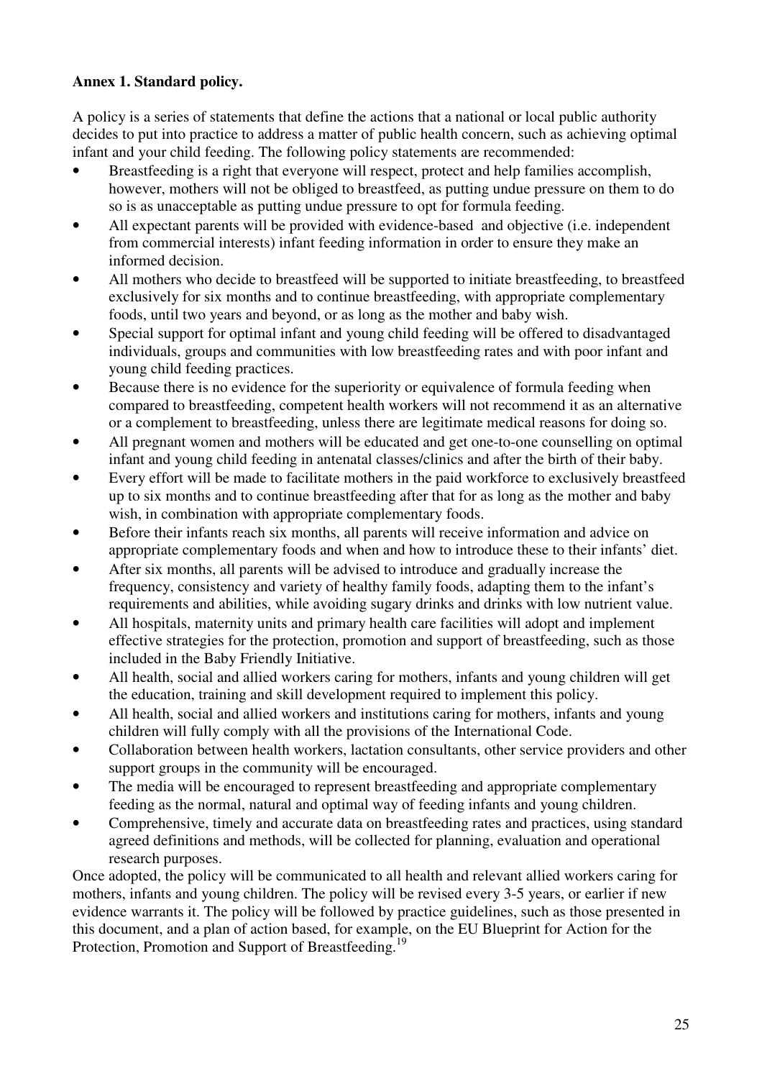## **Annex 1. Standard policy.**

A policy is a series of statements that define the actions that a national or local public authority decides to put into practice to address a matter of public health concern, such as achieving optimal infant and your child feeding. The following policy statements are recommended:

- Breastfeeding is a right that everyone will respect, protect and help families accomplish, however, mothers will not be obliged to breastfeed, as putting undue pressure on them to do so is as unacceptable as putting undue pressure to opt for formula feeding.
- All expectant parents will be provided with evidence-based and objective (i.e. independent from commercial interests) infant feeding information in order to ensure they make an informed decision.
- All mothers who decide to breastfeed will be supported to initiate breastfeeding, to breastfeed exclusively for six months and to continue breastfeeding, with appropriate complementary foods, until two years and beyond, or as long as the mother and baby wish.
- Special support for optimal infant and young child feeding will be offered to disadvantaged individuals, groups and communities with low breastfeeding rates and with poor infant and young child feeding practices.
- Because there is no evidence for the superiority or equivalence of formula feeding when compared to breastfeeding, competent health workers will not recommend it as an alternative or a complement to breastfeeding, unless there are legitimate medical reasons for doing so.
- All pregnant women and mothers will be educated and get one-to-one counselling on optimal infant and young child feeding in antenatal classes/clinics and after the birth of their baby.
- Every effort will be made to facilitate mothers in the paid workforce to exclusively breastfeed up to six months and to continue breastfeeding after that for as long as the mother and baby wish, in combination with appropriate complementary foods.
- Before their infants reach six months, all parents will receive information and advice on appropriate complementary foods and when and how to introduce these to their infants' diet.
- After six months, all parents will be advised to introduce and gradually increase the frequency, consistency and variety of healthy family foods, adapting them to the infant's requirements and abilities, while avoiding sugary drinks and drinks with low nutrient value.
- All hospitals, maternity units and primary health care facilities will adopt and implement effective strategies for the protection, promotion and support of breastfeeding, such as those included in the Baby Friendly Initiative.
- All health, social and allied workers caring for mothers, infants and young children will get the education, training and skill development required to implement this policy.
- All health, social and allied workers and institutions caring for mothers, infants and young children will fully comply with all the provisions of the International Code.
- Collaboration between health workers, lactation consultants, other service providers and other support groups in the community will be encouraged.
- The media will be encouraged to represent breastfeeding and appropriate complementary feeding as the normal, natural and optimal way of feeding infants and young children.
- Comprehensive, timely and accurate data on breastfeeding rates and practices, using standard agreed definitions and methods, will be collected for planning, evaluation and operational research purposes.

Once adopted, the policy will be communicated to all health and relevant allied workers caring for mothers, infants and young children. The policy will be revised every 3-5 years, or earlier if new evidence warrants it. The policy will be followed by practice guidelines, such as those presented in this document, and a plan of action based, for example, on the EU Blueprint for Action for the Protection, Promotion and Support of Breastfeeding.<sup>19</sup>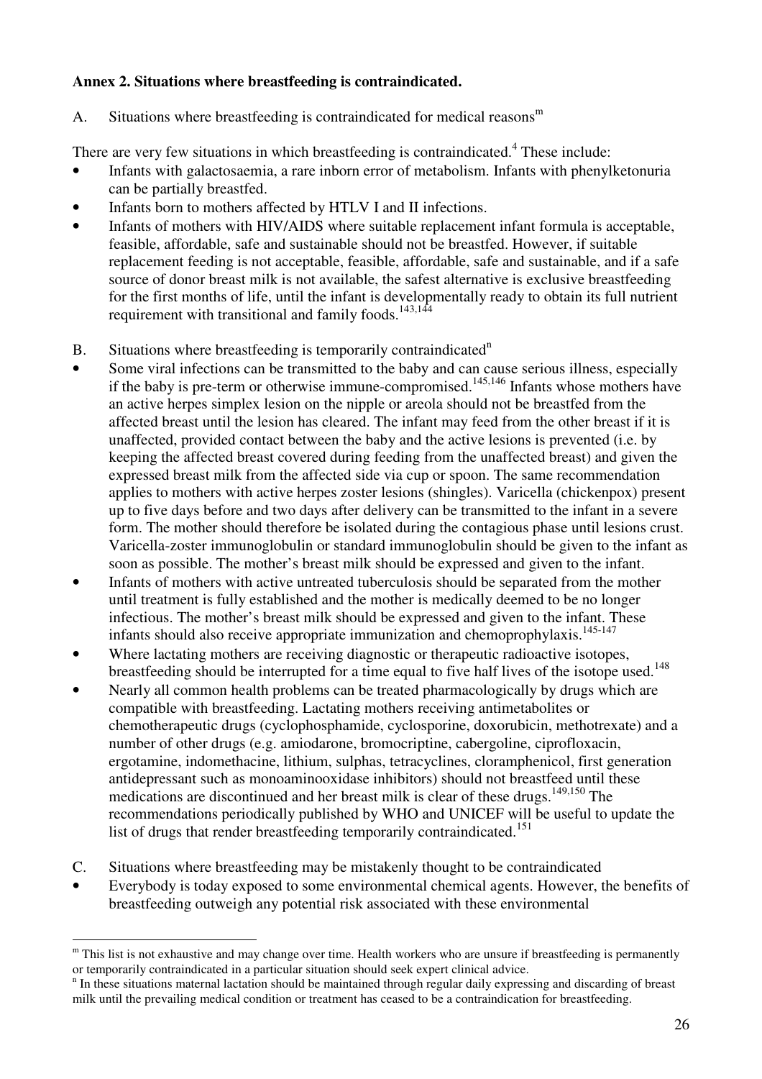### **Annex 2. Situations where breastfeeding is contraindicated.**

A. Situations where breastfeeding is contraindicated for medical reasons $<sup>m</sup>$ </sup>

There are very few situations in which breastfeeding is contraindicated.<sup>4</sup> These include:

- Infants with galactosaemia, a rare inborn error of metabolism. Infants with phenylketonuria can be partially breastfed.
- Infants born to mothers affected by HTLV I and II infections.
- Infants of mothers with HIV/AIDS where suitable replacement infant formula is acceptable, feasible, affordable, safe and sustainable should not be breastfed. However, if suitable replacement feeding is not acceptable, feasible, affordable, safe and sustainable, and if a safe source of donor breast milk is not available, the safest alternative is exclusive breastfeeding for the first months of life, until the infant is developmentally ready to obtain its full nutrient requirement with transitional and family foods.143,144
- B. Situations where breastfeeding is temporarily contraindicated<sup>n</sup>
- Some viral infections can be transmitted to the baby and can cause serious illness, especially if the baby is pre-term or otherwise immune-compromised.<sup>145,146</sup> Infants whose mothers have an active herpes simplex lesion on the nipple or areola should not be breastfed from the affected breast until the lesion has cleared. The infant may feed from the other breast if it is unaffected, provided contact between the baby and the active lesions is prevented (i.e. by keeping the affected breast covered during feeding from the unaffected breast) and given the expressed breast milk from the affected side via cup or spoon. The same recommendation applies to mothers with active herpes zoster lesions (shingles). Varicella (chickenpox) present up to five days before and two days after delivery can be transmitted to the infant in a severe form. The mother should therefore be isolated during the contagious phase until lesions crust. Varicella-zoster immunoglobulin or standard immunoglobulin should be given to the infant as soon as possible. The mother's breast milk should be expressed and given to the infant.
- Infants of mothers with active untreated tuberculosis should be separated from the mother until treatment is fully established and the mother is medically deemed to be no longer infectious. The mother's breast milk should be expressed and given to the infant. These infants should also receive appropriate immunization and chemoprophylaxis.<sup>145-147</sup>
- Where lactating mothers are receiving diagnostic or therapeutic radioactive isotopes, breastfeeding should be interrupted for a time equal to five half lives of the isotope used.<sup>148</sup>
- Nearly all common health problems can be treated pharmacologically by drugs which are compatible with breastfeeding. Lactating mothers receiving antimetabolites or chemotherapeutic drugs (cyclophosphamide, cyclosporine, doxorubicin, methotrexate) and a number of other drugs (e.g. amiodarone, bromocriptine, cabergoline, ciprofloxacin, ergotamine, indomethacine, lithium, sulphas, tetracyclines, cloramphenicol, first generation antidepressant such as monoaminooxidase inhibitors) should not breastfeed until these medications are discontinued and her breast milk is clear of these drugs.<sup>149,150</sup> The recommendations periodically published by WHO and UNICEF will be useful to update the list of drugs that render breastfeeding temporarily contraindicated.<sup>151</sup>
- C. Situations where breastfeeding may be mistakenly thought to be contraindicated
- Everybody is today exposed to some environmental chemical agents. However, the benefits of breastfeeding outweigh any potential risk associated with these environmental

 $\overline{a}$ <sup>m</sup> This list is not exhaustive and may change over time. Health workers who are unsure if breastfeeding is permanently or temporarily contraindicated in a particular situation should seek expert clinical advice.

<sup>&</sup>lt;sup>n</sup> In these situations maternal lactation should be maintained through regular daily expressing and discarding of breast milk until the prevailing medical condition or treatment has ceased to be a contraindication for breastfeeding.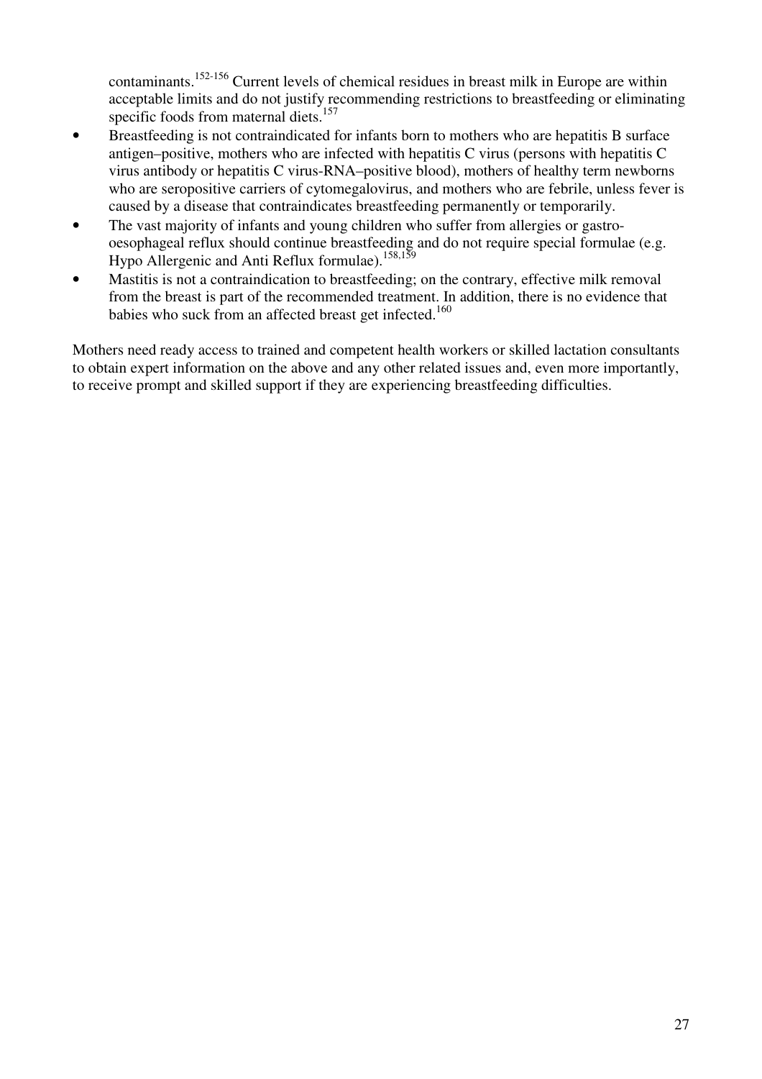contaminants.152-156 Current levels of chemical residues in breast milk in Europe are within acceptable limits and do not justify recommending restrictions to breastfeeding or eliminating specific foods from maternal diets.<sup>157</sup>

- Breastfeeding is not contraindicated for infants born to mothers who are hepatitis B surface antigen–positive, mothers who are infected with hepatitis C virus (persons with hepatitis C virus antibody or hepatitis C virus-RNA–positive blood), mothers of healthy term newborns who are seropositive carriers of cytomegalovirus, and mothers who are febrile, unless fever is caused by a disease that contraindicates breastfeeding permanently or temporarily.
- The vast majority of infants and young children who suffer from allergies or gastrooesophageal reflux should continue breastfeeding and do not require special formulae (e.g. Hypo Allergenic and Anti Reflux formulae).158,159
- Mastitis is not a contraindication to breastfeeding; on the contrary, effective milk removal from the breast is part of the recommended treatment. In addition, there is no evidence that babies who suck from an affected breast get infected.<sup>160</sup>

Mothers need ready access to trained and competent health workers or skilled lactation consultants to obtain expert information on the above and any other related issues and, even more importantly, to receive prompt and skilled support if they are experiencing breastfeeding difficulties.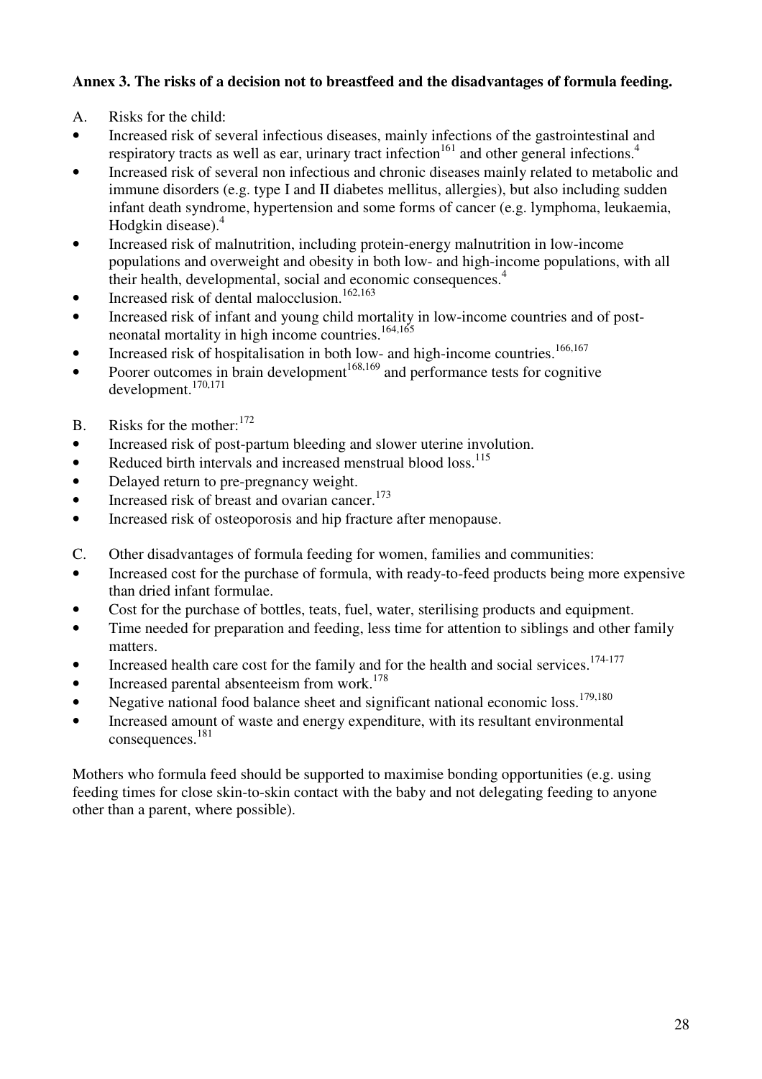## **Annex 3. The risks of a decision not to breastfeed and the disadvantages of formula feeding.**

- A. Risks for the child:
- Increased risk of several infectious diseases, mainly infections of the gastrointestinal and respiratory tracts as well as ear, urinary tract infection<sup>161</sup> and other general infections.<sup>4</sup>
- Increased risk of several non infectious and chronic diseases mainly related to metabolic and immune disorders (e.g. type I and II diabetes mellitus, allergies), but also including sudden infant death syndrome, hypertension and some forms of cancer (e.g. lymphoma, leukaemia, Hodgkin disease). $4$
- Increased risk of malnutrition, including protein-energy malnutrition in low-income populations and overweight and obesity in both low- and high-income populations, with all their health, developmental, social and economic consequences.<sup>4</sup>
- Increased risk of dental malocclusion.<sup>162,163</sup>
- Increased risk of infant and young child mortality in low-income countries and of postneonatal mortality in high income countries.<sup>164,165</sup>
- Increased risk of hospitalisation in both low- and high-income countries.<sup>166,167</sup>
- From the complement of the processes in brain development<sup>168,169</sup> and performance tests for cognitive development.170,171
- B. Risks for the mother:  $172$
- Increased risk of post-partum bleeding and slower uterine involution.
- Reduced birth intervals and increased menstrual blood  $loss.<sup>115</sup>$
- Delayed return to pre-pregnancy weight.
- Increased risk of breast and ovarian cancer. $173$
- Increased risk of osteoporosis and hip fracture after menopause.
- C. Other disadvantages of formula feeding for women, families and communities:
- Increased cost for the purchase of formula, with ready-to-feed products being more expensive than dried infant formulae.
- Cost for the purchase of bottles, teats, fuel, water, sterilising products and equipment.
- Time needed for preparation and feeding, less time for attention to siblings and other family matters.
- Increased health care cost for the family and for the health and social services.<sup>174-177</sup>
- Increased parental absenteeism from work.<sup>178</sup>
- Negative national food balance sheet and significant national economic loss.<sup>179,180</sup>
- Increased amount of waste and energy expenditure, with its resultant environmental consequences.<sup>181</sup>

Mothers who formula feed should be supported to maximise bonding opportunities (e.g. using feeding times for close skin-to-skin contact with the baby and not delegating feeding to anyone other than a parent, where possible).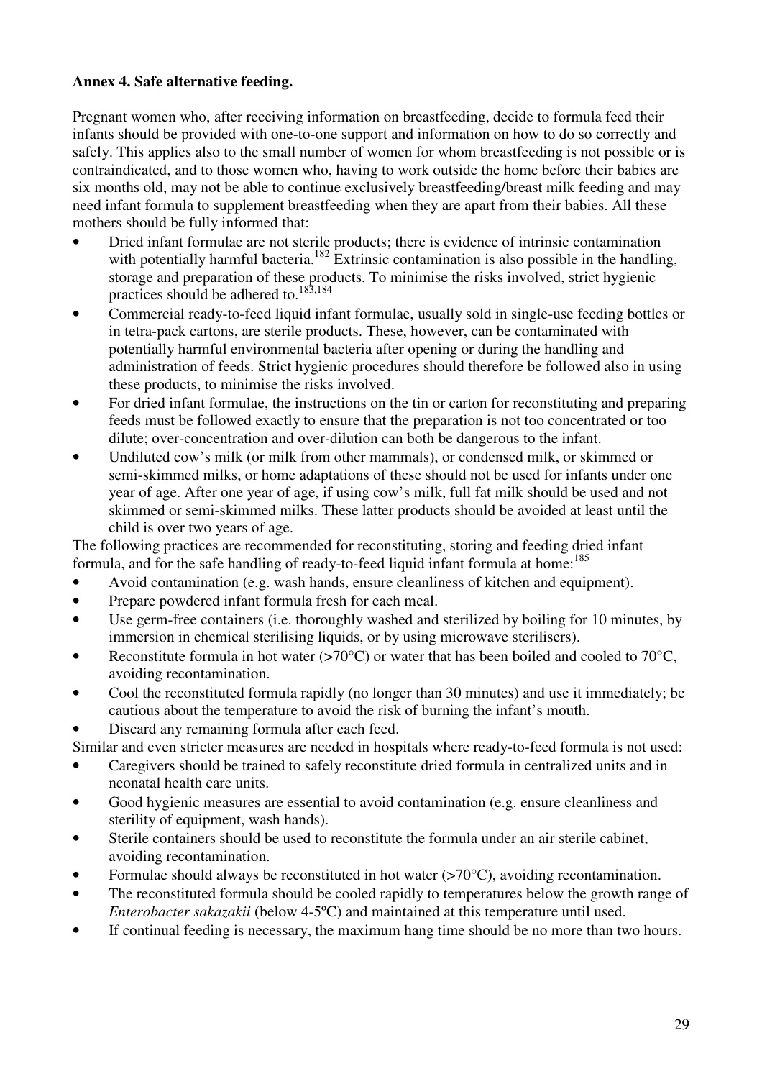## **Annex 4. Safe alternative feeding.**

Pregnant women who, after receiving information on breastfeeding, decide to formula feed their infants should be provided with one-to-one support and information on how to do so correctly and safely. This applies also to the small number of women for whom breastfeeding is not possible or is contraindicated, and to those women who, having to work outside the home before their babies are six months old, may not be able to continue exclusively breastfeeding/breast milk feeding and may need infant formula to supplement breastfeeding when they are apart from their babies. All these mothers should be fully informed that:

- Dried infant formulae are not sterile products; there is evidence of intrinsic contamination with potentially harmful bacteria.<sup>182</sup> Extrinsic contamination is also possible in the handling, storage and preparation of these products. To minimise the risks involved, strict hygienic practices should be adhered to.<sup>183,184</sup>
- Commercial ready-to-feed liquid infant formulae, usually sold in single-use feeding bottles or in tetra-pack cartons, are sterile products. These, however, can be contaminated with potentially harmful environmental bacteria after opening or during the handling and administration of feeds. Strict hygienic procedures should therefore be followed also in using these products, to minimise the risks involved.
- For dried infant formulae, the instructions on the tin or carton for reconstituting and preparing feeds must be followed exactly to ensure that the preparation is not too concentrated or too dilute; over-concentration and over-dilution can both be dangerous to the infant.
- Undiluted cow's milk (or milk from other mammals), or condensed milk, or skimmed or semi-skimmed milks, or home adaptations of these should not be used for infants under one year of age. After one year of age, if using cow's milk, full fat milk should be used and not skimmed or semi-skimmed milks. These latter products should be avoided at least until the child is over two years of age.

The following practices are recommended for reconstituting, storing and feeding dried infant formula, and for the safe handling of ready-to-feed liquid infant formula at home:<sup>185</sup>

- Avoid contamination (e.g. wash hands, ensure cleanliness of kitchen and equipment).
- Prepare powdered infant formula fresh for each meal.
- Use germ-free containers (i.e. thoroughly washed and sterilized by boiling for 10 minutes, by immersion in chemical sterilising liquids, or by using microwave sterilisers).
- Reconstitute formula in hot water ( $>70^{\circ}$ C) or water that has been boiled and cooled to 70 $^{\circ}$ C, avoiding recontamination.
- Cool the reconstituted formula rapidly (no longer than 30 minutes) and use it immediately; be cautious about the temperature to avoid the risk of burning the infant's mouth.
- Discard any remaining formula after each feed.

Similar and even stricter measures are needed in hospitals where ready-to-feed formula is not used:

- Caregivers should be trained to safely reconstitute dried formula in centralized units and in neonatal health care units.
- Good hygienic measures are essential to avoid contamination (e.g. ensure cleanliness and sterility of equipment, wash hands).
- Sterile containers should be used to reconstitute the formula under an air sterile cabinet, avoiding recontamination.
- Formulae should always be reconstituted in hot water  $(>70^{\circ}C)$ , avoiding recontamination.
- The reconstituted formula should be cooled rapidly to temperatures below the growth range of *Enterobacter sakazakii* (below 4-5ºC) and maintained at this temperature until used.
- If continual feeding is necessary, the maximum hang time should be no more than two hours.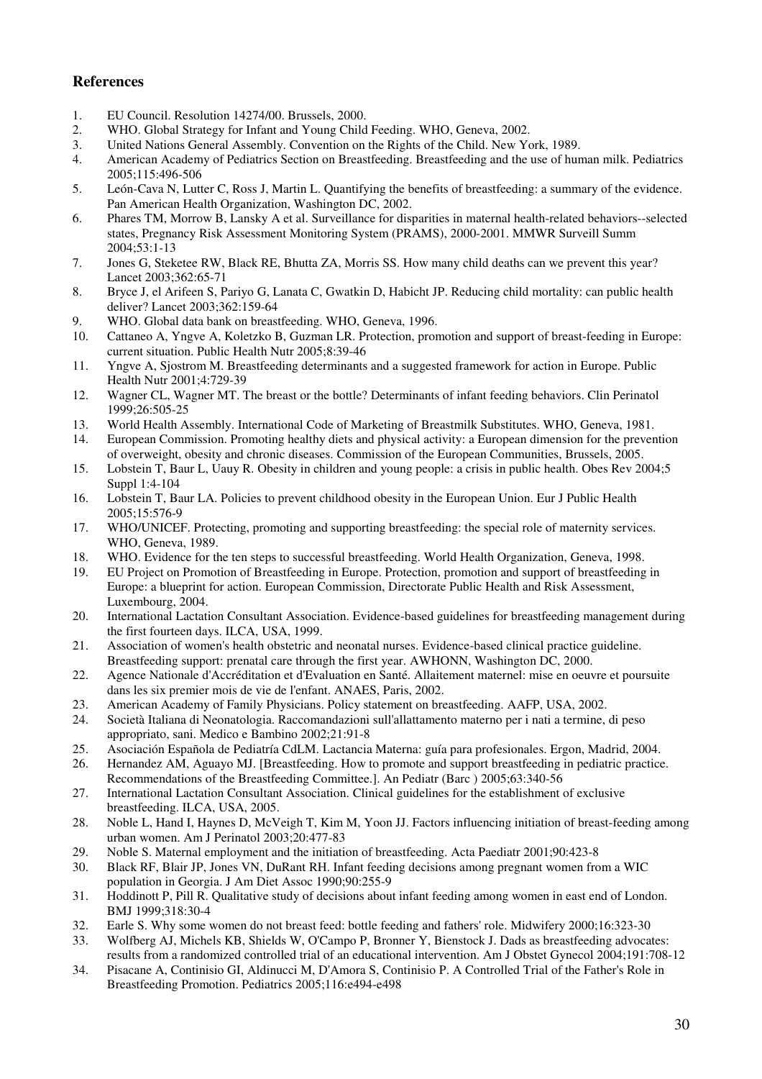#### **References**

- 1. EU Council. Resolution 14274/00. Brussels, 2000.
- 2. WHO. Global Strategy for Infant and Young Child Feeding. WHO, Geneva, 2002.
- 3. United Nations General Assembly. Convention on the Rights of the Child. New York, 1989.
- 4. American Academy of Pediatrics Section on Breastfeeding. Breastfeeding and the use of human milk. Pediatrics 2005;115:496-506
- 5. León-Cava N, Lutter C, Ross J, Martin L. Quantifying the benefits of breastfeeding: a summary of the evidence. Pan American Health Organization, Washington DC, 2002.
- 6. Phares TM, Morrow B, Lansky A et al. Surveillance for disparities in maternal health-related behaviors--selected states, Pregnancy Risk Assessment Monitoring System (PRAMS), 2000-2001. MMWR Surveill Summ 2004;53:1-13
- 7. Jones G, Steketee RW, Black RE, Bhutta ZA, Morris SS. How many child deaths can we prevent this year? Lancet 2003;362:65-71
- 8. Bryce J, el Arifeen S, Pariyo G, Lanata C, Gwatkin D, Habicht JP. Reducing child mortality: can public health deliver? Lancet 2003;362:159-64
- 9. WHO. Global data bank on breastfeeding. WHO, Geneva, 1996.
- 10. Cattaneo A, Yngve A, Koletzko B, Guzman LR. Protection, promotion and support of breast-feeding in Europe: current situation. Public Health Nutr 2005;8:39-46
- 11. Yngve A, Sjostrom M. Breastfeeding determinants and a suggested framework for action in Europe. Public Health Nutr 2001;4:729-39
- 12. Wagner CL, Wagner MT. The breast or the bottle? Determinants of infant feeding behaviors. Clin Perinatol 1999;26:505-25
- 13. World Health Assembly. International Code of Marketing of Breastmilk Substitutes. WHO, Geneva, 1981.
- 14. European Commission. Promoting healthy diets and physical activity: a European dimension for the prevention of overweight, obesity and chronic diseases. Commission of the European Communities, Brussels, 2005.
- 15. Lobstein T, Baur L, Uauy R. Obesity in children and young people: a crisis in public health. Obes Rev 2004;5 Suppl 1:4-104
- 16. Lobstein T, Baur LA. Policies to prevent childhood obesity in the European Union. Eur J Public Health 2005;15:576-9
- 17. WHO/UNICEF. Protecting, promoting and supporting breastfeeding: the special role of maternity services. WHO, Geneva, 1989.
- 18. WHO. Evidence for the ten steps to successful breastfeeding. World Health Organization, Geneva, 1998.
- 19. EU Project on Promotion of Breastfeeding in Europe. Protection, promotion and support of breastfeeding in Europe: a blueprint for action. European Commission, Directorate Public Health and Risk Assessment, Luxembourg, 2004.
- 20. International Lactation Consultant Association. Evidence-based guidelines for breastfeeding management during the first fourteen days. ILCA, USA, 1999.
- 21. Association of women's health obstetric and neonatal nurses. Evidence-based clinical practice guideline. Breastfeeding support: prenatal care through the first year. AWHONN, Washington DC, 2000.
- 22. Agence Nationale d'Accréditation et d'Evaluation en Santé. Allaitement maternel: mise en oeuvre et poursuite dans les six premier mois de vie de l'enfant. ANAES, Paris, 2002.
- 23. American Academy of Family Physicians. Policy statement on breastfeeding. AAFP, USA, 2002.
- 24. Società Italiana di Neonatologia. Raccomandazioni sull'allattamento materno per i nati a termine, di peso appropriato, sani. Medico e Bambino 2002;21:91-8
- 25. Asociación Española de Pediatría CdLM. Lactancia Materna: guía para profesionales. Ergon, Madrid, 2004.<br>26. Hernandez AM. Aguavo MJ. [Breastfeeding. How to promote and support breastfeeding in pediatric practice
- Hernandez AM, Aguayo MJ. [Breastfeeding. How to promote and support breastfeeding in pediatric practice. Recommendations of the Breastfeeding Committee.]. An Pediatr (Barc ) 2005;63:340-56
- 27. International Lactation Consultant Association. Clinical guidelines for the establishment of exclusive breastfeeding. ILCA, USA, 2005.
- 28. Noble L, Hand I, Haynes D, McVeigh T, Kim M, Yoon JJ. Factors influencing initiation of breast-feeding among urban women. Am J Perinatol 2003;20:477-83
- 29. Noble S. Maternal employment and the initiation of breastfeeding. Acta Paediatr 2001;90:423-8
- 30. Black RF, Blair JP, Jones VN, DuRant RH. Infant feeding decisions among pregnant women from a WIC population in Georgia. J Am Diet Assoc 1990;90:255-9
- 31. Hoddinott P, Pill R. Qualitative study of decisions about infant feeding among women in east end of London. BMJ 1999;318:30-4
- 32. Earle S. Why some women do not breast feed: bottle feeding and fathers' role. Midwifery 2000;16:323-30
- 33. Wolfberg AJ, Michels KB, Shields W, O'Campo P, Bronner Y, Bienstock J. Dads as breastfeeding advocates: results from a randomized controlled trial of an educational intervention. Am J Obstet Gynecol 2004;191:708-12
- 34. Pisacane A, Continisio GI, Aldinucci M, D'Amora S, Continisio P. A Controlled Trial of the Father's Role in Breastfeeding Promotion. Pediatrics 2005;116:e494-e498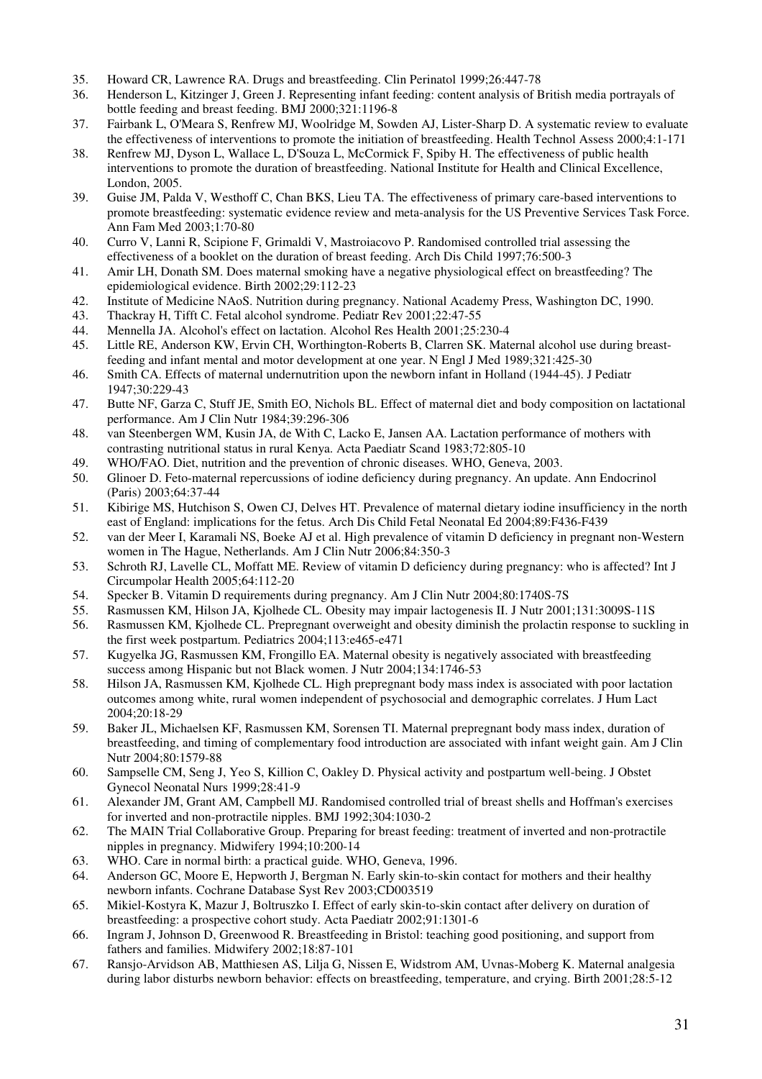- 35. Howard CR, Lawrence RA. Drugs and breastfeeding. Clin Perinatol 1999;26:447-78
- 36. Henderson L, Kitzinger J, Green J. Representing infant feeding: content analysis of British media portrayals of bottle feeding and breast feeding. BMJ 2000;321:1196-8
- 37. Fairbank L, O'Meara S, Renfrew MJ, Woolridge M, Sowden AJ, Lister-Sharp D. A systematic review to evaluate the effectiveness of interventions to promote the initiation of breastfeeding. Health Technol Assess 2000;4:1-171
- 38. Renfrew MJ, Dyson L, Wallace L, D'Souza L, McCormick F, Spiby H. The effectiveness of public health interventions to promote the duration of breastfeeding. National Institute for Health and Clinical Excellence, London, 2005.
- 39. Guise JM, Palda V, Westhoff C, Chan BKS, Lieu TA. The effectiveness of primary care-based interventions to promote breastfeeding: systematic evidence review and meta-analysis for the US Preventive Services Task Force. Ann Fam Med 2003;1:70-80
- 40. Curro V, Lanni R, Scipione F, Grimaldi V, Mastroiacovo P. Randomised controlled trial assessing the effectiveness of a booklet on the duration of breast feeding. Arch Dis Child 1997;76:500-3
- 41. Amir LH, Donath SM. Does maternal smoking have a negative physiological effect on breastfeeding? The epidemiological evidence. Birth 2002;29:112-23
- 42. Institute of Medicine NAoS. Nutrition during pregnancy. National Academy Press, Washington DC, 1990.
- 43. Thackray H, Tifft C. Fetal alcohol syndrome. Pediatr Rev 2001;22:47-55
- 44. Mennella JA. Alcohol's effect on lactation. Alcohol Res Health 2001;25:230-4
- 45. Little RE, Anderson KW, Ervin CH, Worthington-Roberts B, Clarren SK. Maternal alcohol use during breastfeeding and infant mental and motor development at one year. N Engl J Med 1989;321:425-30
- 46. Smith CA. Effects of maternal undernutrition upon the newborn infant in Holland (1944-45). J Pediatr 1947;30:229-43
- 47. Butte NF, Garza C, Stuff JE, Smith EO, Nichols BL. Effect of maternal diet and body composition on lactational performance. Am J Clin Nutr 1984;39:296-306
- 48. van Steenbergen WM, Kusin JA, de With C, Lacko E, Jansen AA. Lactation performance of mothers with contrasting nutritional status in rural Kenya. Acta Paediatr Scand 1983;72:805-10
- 49. WHO/FAO. Diet, nutrition and the prevention of chronic diseases. WHO, Geneva, 2003.
- 50. Glinoer D. Feto-maternal repercussions of iodine deficiency during pregnancy. An update. Ann Endocrinol (Paris) 2003;64:37-44
- 51. Kibirige MS, Hutchison S, Owen CJ, Delves HT. Prevalence of maternal dietary iodine insufficiency in the north east of England: implications for the fetus. Arch Dis Child Fetal Neonatal Ed 2004;89:F436-F439
- 52. van der Meer I, Karamali NS, Boeke AJ et al. High prevalence of vitamin D deficiency in pregnant non-Western women in The Hague, Netherlands. Am J Clin Nutr 2006;84:350-3
- 53. Schroth RJ, Lavelle CL, Moffatt ME. Review of vitamin D deficiency during pregnancy: who is affected? Int J Circumpolar Health 2005;64:112-20
- 54. Specker B. Vitamin D requirements during pregnancy. Am J Clin Nutr 2004;80:1740S-7S
- 55. Rasmussen KM, Hilson JA, Kjolhede CL. Obesity may impair lactogenesis II. J Nutr 2001;131:3009S-11S
- 56. Rasmussen KM, Kjolhede CL. Prepregnant overweight and obesity diminish the prolactin response to suckling in the first week postpartum. Pediatrics 2004;113:e465-e471
- 57. Kugyelka JG, Rasmussen KM, Frongillo EA. Maternal obesity is negatively associated with breastfeeding success among Hispanic but not Black women. J Nutr 2004;134:1746-53
- 58. Hilson JA, Rasmussen KM, Kjolhede CL. High prepregnant body mass index is associated with poor lactation outcomes among white, rural women independent of psychosocial and demographic correlates. J Hum Lact 2004;20:18-29
- 59. Baker JL, Michaelsen KF, Rasmussen KM, Sorensen TI. Maternal prepregnant body mass index, duration of breastfeeding, and timing of complementary food introduction are associated with infant weight gain. Am J Clin Nutr 2004;80:1579-88
- 60. Sampselle CM, Seng J, Yeo S, Killion C, Oakley D. Physical activity and postpartum well-being. J Obstet Gynecol Neonatal Nurs 1999;28:41-9
- 61. Alexander JM, Grant AM, Campbell MJ. Randomised controlled trial of breast shells and Hoffman's exercises for inverted and non-protractile nipples. BMJ 1992;304:1030-2
- 62. The MAIN Trial Collaborative Group. Preparing for breast feeding: treatment of inverted and non-protractile nipples in pregnancy. Midwifery 1994;10:200-14
- 63. WHO. Care in normal birth: a practical guide. WHO, Geneva, 1996.
- 64. Anderson GC, Moore E, Hepworth J, Bergman N. Early skin-to-skin contact for mothers and their healthy newborn infants. Cochrane Database Syst Rev 2003;CD003519
- 65. Mikiel-Kostyra K, Mazur J, Boltruszko I. Effect of early skin-to-skin contact after delivery on duration of breastfeeding: a prospective cohort study. Acta Paediatr 2002;91:1301-6
- 66. Ingram J, Johnson D, Greenwood R. Breastfeeding in Bristol: teaching good positioning, and support from fathers and families. Midwifery 2002;18:87-101
- 67. Ransjo-Arvidson AB, Matthiesen AS, Lilja G, Nissen E, Widstrom AM, Uvnas-Moberg K. Maternal analgesia during labor disturbs newborn behavior: effects on breastfeeding, temperature, and crying. Birth 2001;28:5-12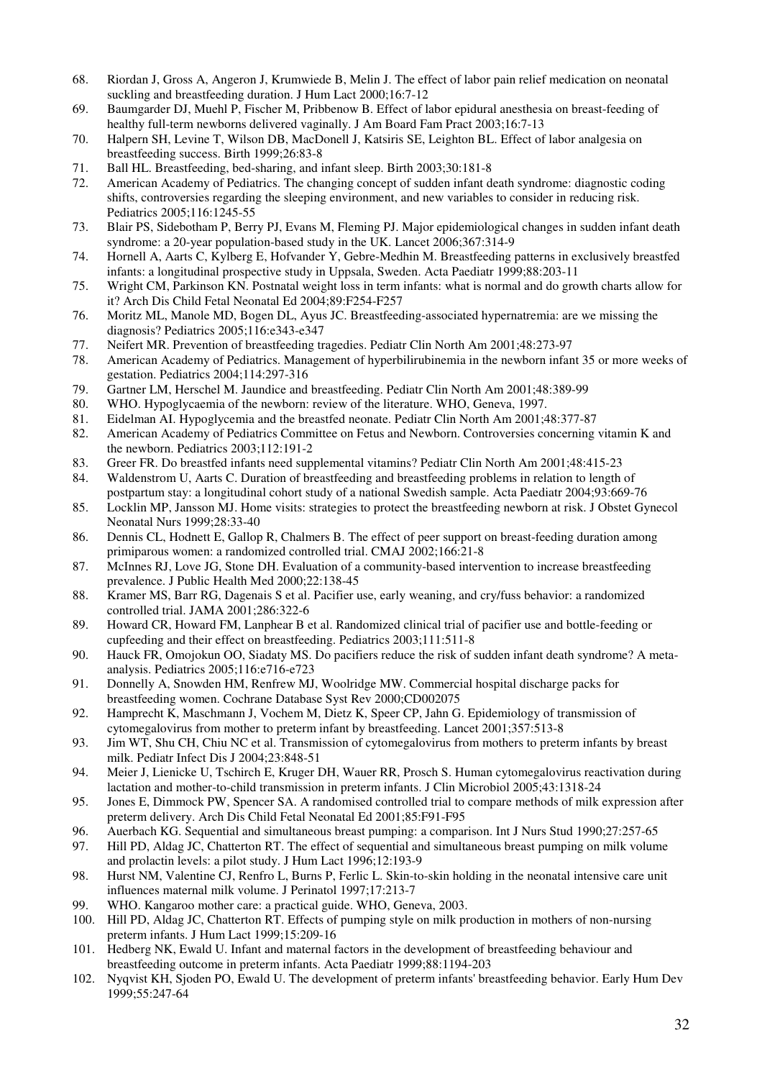- 68. Riordan J, Gross A, Angeron J, Krumwiede B, Melin J. The effect of labor pain relief medication on neonatal suckling and breastfeeding duration. J Hum Lact 2000;16:7-12
- 69. Baumgarder DJ, Muehl P, Fischer M, Pribbenow B. Effect of labor epidural anesthesia on breast-feeding of healthy full-term newborns delivered vaginally. J Am Board Fam Pract 2003;16:7-13
- 70. Halpern SH, Levine T, Wilson DB, MacDonell J, Katsiris SE, Leighton BL. Effect of labor analgesia on breastfeeding success. Birth 1999;26:83-8
- 71. Ball HL. Breastfeeding, bed-sharing, and infant sleep. Birth 2003;30:181-8
- 72. American Academy of Pediatrics. The changing concept of sudden infant death syndrome: diagnostic coding shifts, controversies regarding the sleeping environment, and new variables to consider in reducing risk. Pediatrics 2005;116:1245-55
- 73. Blair PS, Sidebotham P, Berry PJ, Evans M, Fleming PJ. Major epidemiological changes in sudden infant death syndrome: a 20-year population-based study in the UK. Lancet 2006;367:314-9
- 74. Hornell A, Aarts C, Kylberg E, Hofvander Y, Gebre-Medhin M. Breastfeeding patterns in exclusively breastfed infants: a longitudinal prospective study in Uppsala, Sweden. Acta Paediatr 1999;88:203-11
- 75. Wright CM, Parkinson KN. Postnatal weight loss in term infants: what is normal and do growth charts allow for it? Arch Dis Child Fetal Neonatal Ed 2004;89:F254-F257
- 76. Moritz ML, Manole MD, Bogen DL, Ayus JC. Breastfeeding-associated hypernatremia: are we missing the diagnosis? Pediatrics 2005;116:e343-e347
- 77. Neifert MR. Prevention of breastfeeding tragedies. Pediatr Clin North Am 2001;48:273-97
- 78. American Academy of Pediatrics. Management of hyperbilirubinemia in the newborn infant 35 or more weeks of gestation. Pediatrics 2004;114:297-316
- 79. Gartner LM, Herschel M. Jaundice and breastfeeding. Pediatr Clin North Am 2001;48:389-99
- 80. WHO. Hypoglycaemia of the newborn: review of the literature. WHO, Geneva, 1997.
- 81. Eidelman AI. Hypoglycemia and the breastfed neonate. Pediatr Clin North Am 2001;48:377-87
- 82. American Academy of Pediatrics Committee on Fetus and Newborn. Controversies concerning vitamin K and the newborn. Pediatrics 2003;112:191-2
- 83. Greer FR. Do breastfed infants need supplemental vitamins? Pediatr Clin North Am 2001;48:415-23
- 84. Waldenstrom U, Aarts C. Duration of breastfeeding and breastfeeding problems in relation to length of postpartum stay: a longitudinal cohort study of a national Swedish sample. Acta Paediatr 2004;93:669-76
- 85. Locklin MP, Jansson MJ. Home visits: strategies to protect the breastfeeding newborn at risk. J Obstet Gynecol Neonatal Nurs 1999;28:33-40
- 86. Dennis CL, Hodnett E, Gallop R, Chalmers B. The effect of peer support on breast-feeding duration among primiparous women: a randomized controlled trial. CMAJ 2002;166:21-8
- 87. McInnes RJ, Love JG, Stone DH. Evaluation of a community-based intervention to increase breastfeeding prevalence. J Public Health Med 2000;22:138-45
- 88. Kramer MS, Barr RG, Dagenais S et al. Pacifier use, early weaning, and cry/fuss behavior: a randomized controlled trial. JAMA 2001;286:322-6
- 89. Howard CR, Howard FM, Lanphear B et al. Randomized clinical trial of pacifier use and bottle-feeding or cupfeeding and their effect on breastfeeding. Pediatrics 2003;111:511-8
- 90. Hauck FR, Omojokun OO, Siadaty MS. Do pacifiers reduce the risk of sudden infant death syndrome? A metaanalysis. Pediatrics 2005;116:e716-e723
- 91. Donnelly A, Snowden HM, Renfrew MJ, Woolridge MW. Commercial hospital discharge packs for breastfeeding women. Cochrane Database Syst Rev 2000;CD002075
- 92. Hamprecht K, Maschmann J, Vochem M, Dietz K, Speer CP, Jahn G. Epidemiology of transmission of cytomegalovirus from mother to preterm infant by breastfeeding. Lancet 2001;357:513-8
- 93. Jim WT, Shu CH, Chiu NC et al. Transmission of cytomegalovirus from mothers to preterm infants by breast milk. Pediatr Infect Dis J 2004;23:848-51
- 94. Meier J, Lienicke U, Tschirch E, Kruger DH, Wauer RR, Prosch S. Human cytomegalovirus reactivation during lactation and mother-to-child transmission in preterm infants. J Clin Microbiol 2005;43:1318-24
- 95. Jones E, Dimmock PW, Spencer SA. A randomised controlled trial to compare methods of milk expression after preterm delivery. Arch Dis Child Fetal Neonatal Ed 2001;85:F91-F95
- 96. Auerbach KG. Sequential and simultaneous breast pumping: a comparison. Int J Nurs Stud 1990;27:257-65
- 97. Hill PD, Aldag JC, Chatterton RT. The effect of sequential and simultaneous breast pumping on milk volume and prolactin levels: a pilot study. J Hum Lact 1996;12:193-9
- 98. Hurst NM, Valentine CJ, Renfro L, Burns P, Ferlic L. Skin-to-skin holding in the neonatal intensive care unit influences maternal milk volume. J Perinatol 1997;17:213-7
- 99. WHO. Kangaroo mother care: a practical guide. WHO, Geneva, 2003.
- 100. Hill PD, Aldag JC, Chatterton RT. Effects of pumping style on milk production in mothers of non-nursing preterm infants. J Hum Lact 1999;15:209-16
- 101. Hedberg NK, Ewald U. Infant and maternal factors in the development of breastfeeding behaviour and breastfeeding outcome in preterm infants. Acta Paediatr 1999;88:1194-203
- 102. Nyqvist KH, Sjoden PO, Ewald U. The development of preterm infants' breastfeeding behavior. Early Hum Dev 1999;55:247-64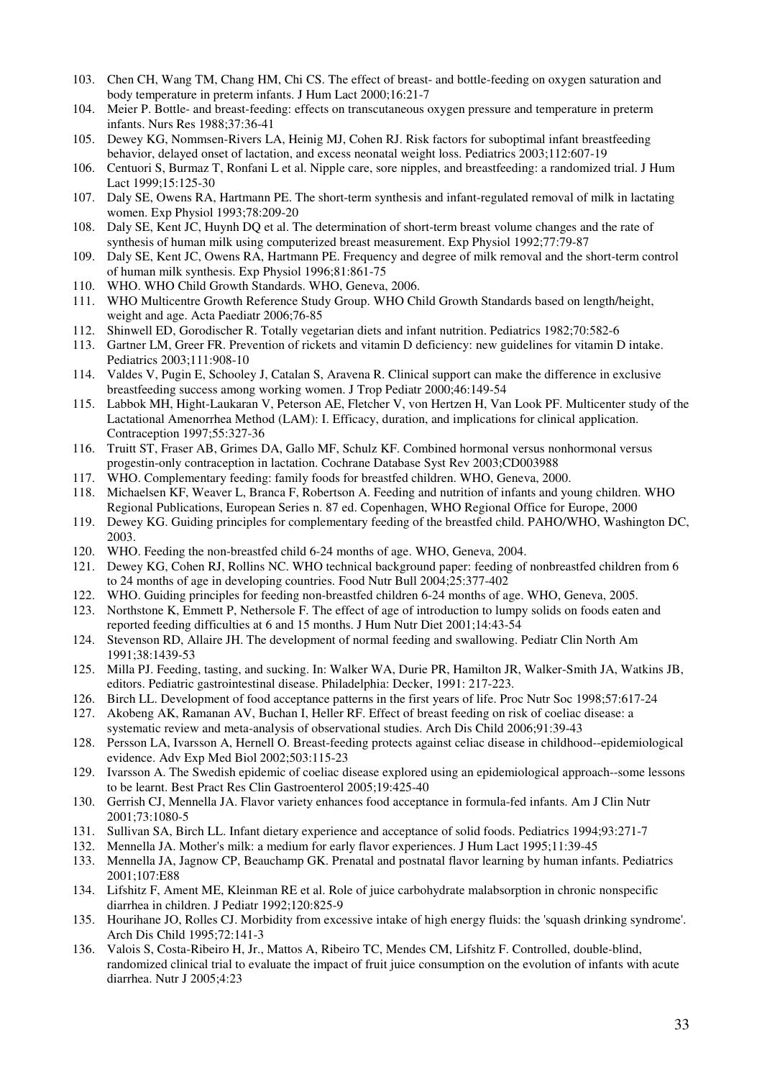- 103. Chen CH, Wang TM, Chang HM, Chi CS. The effect of breast- and bottle-feeding on oxygen saturation and body temperature in preterm infants. J Hum Lact 2000;16:21-7
- 104. Meier P. Bottle- and breast-feeding: effects on transcutaneous oxygen pressure and temperature in preterm infants. Nurs Res 1988;37:36-41
- 105. Dewey KG, Nommsen-Rivers LA, Heinig MJ, Cohen RJ. Risk factors for suboptimal infant breastfeeding behavior, delayed onset of lactation, and excess neonatal weight loss. Pediatrics 2003;112:607-19
- 106. Centuori S, Burmaz T, Ronfani L et al. Nipple care, sore nipples, and breastfeeding: a randomized trial. J Hum Lact 1999;15:125-30
- 107. Daly SE, Owens RA, Hartmann PE. The short-term synthesis and infant-regulated removal of milk in lactating women. Exp Physiol 1993;78:209-20
- 108. Daly SE, Kent JC, Huynh DQ et al. The determination of short-term breast volume changes and the rate of synthesis of human milk using computerized breast measurement. Exp Physiol 1992;77:79-87
- 109. Daly SE, Kent JC, Owens RA, Hartmann PE. Frequency and degree of milk removal and the short-term control of human milk synthesis. Exp Physiol 1996;81:861-75
- 110. WHO. WHO Child Growth Standards. WHO, Geneva, 2006.
- 111. WHO Multicentre Growth Reference Study Group. WHO Child Growth Standards based on length/height, weight and age. Acta Paediatr 2006;76-85
- 112. Shinwell ED, Gorodischer R. Totally vegetarian diets and infant nutrition. Pediatrics 1982;70:582-6
- 113. Gartner LM, Greer FR. Prevention of rickets and vitamin D deficiency: new guidelines for vitamin D intake. Pediatrics 2003;111:908-10
- 114. Valdes V, Pugin E, Schooley J, Catalan S, Aravena R. Clinical support can make the difference in exclusive breastfeeding success among working women. J Trop Pediatr 2000;46:149-54
- 115. Labbok MH, Hight-Laukaran V, Peterson AE, Fletcher V, von Hertzen H, Van Look PF. Multicenter study of the Lactational Amenorrhea Method (LAM): I. Efficacy, duration, and implications for clinical application. Contraception 1997;55:327-36
- 116. Truitt ST, Fraser AB, Grimes DA, Gallo MF, Schulz KF. Combined hormonal versus nonhormonal versus progestin-only contraception in lactation. Cochrane Database Syst Rev 2003;CD003988
- 117. WHO. Complementary feeding: family foods for breastfed children. WHO, Geneva, 2000.
- 118. Michaelsen KF, Weaver L, Branca F, Robertson A. Feeding and nutrition of infants and young children. WHO Regional Publications, European Series n. 87 ed. Copenhagen, WHO Regional Office for Europe, 2000
- 119. Dewey KG. Guiding principles for complementary feeding of the breastfed child. PAHO/WHO, Washington DC, 2003.
- 120. WHO. Feeding the non-breastfed child 6-24 months of age. WHO, Geneva, 2004.
- 121. Dewey KG, Cohen RJ, Rollins NC. WHO technical background paper: feeding of nonbreastfed children from 6 to 24 months of age in developing countries. Food Nutr Bull 2004;25:377-402
- 122. WHO. Guiding principles for feeding non-breastfed children 6-24 months of age. WHO, Geneva, 2005.
- 123. Northstone K, Emmett P, Nethersole F. The effect of age of introduction to lumpy solids on foods eaten and reported feeding difficulties at 6 and 15 months. J Hum Nutr Diet 2001;14:43-54
- 124. Stevenson RD, Allaire JH. The development of normal feeding and swallowing. Pediatr Clin North Am 1991;38:1439-53
- 125. Milla PJ. Feeding, tasting, and sucking. In: Walker WA, Durie PR, Hamilton JR, Walker-Smith JA, Watkins JB, editors. Pediatric gastrointestinal disease. Philadelphia: Decker, 1991: 217-223.
- 126. Birch LL. Development of food acceptance patterns in the first years of life. Proc Nutr Soc 1998;57:617-24
- 127. Akobeng AK, Ramanan AV, Buchan I, Heller RF. Effect of breast feeding on risk of coeliac disease: a systematic review and meta-analysis of observational studies. Arch Dis Child 2006;91:39-43
- 128. Persson LA, Ivarsson A, Hernell O. Breast-feeding protects against celiac disease in childhood--epidemiological evidence. Adv Exp Med Biol 2002;503:115-23
- 129. Ivarsson A. The Swedish epidemic of coeliac disease explored using an epidemiological approach--some lessons to be learnt. Best Pract Res Clin Gastroenterol 2005;19:425-40
- 130. Gerrish CJ, Mennella JA. Flavor variety enhances food acceptance in formula-fed infants. Am J Clin Nutr 2001;73:1080-5
- 131. Sullivan SA, Birch LL. Infant dietary experience and acceptance of solid foods. Pediatrics 1994;93:271-7
- 132. Mennella JA. Mother's milk: a medium for early flavor experiences. J Hum Lact 1995;11:39-45
- 133. Mennella JA, Jagnow CP, Beauchamp GK. Prenatal and postnatal flavor learning by human infants. Pediatrics 2001;107:E88
- 134. Lifshitz F, Ament ME, Kleinman RE et al. Role of juice carbohydrate malabsorption in chronic nonspecific diarrhea in children. J Pediatr 1992;120:825-9
- 135. Hourihane JO, Rolles CJ. Morbidity from excessive intake of high energy fluids: the 'squash drinking syndrome'. Arch Dis Child 1995;72:141-3
- 136. Valois S, Costa-Ribeiro H, Jr., Mattos A, Ribeiro TC, Mendes CM, Lifshitz F. Controlled, double-blind, randomized clinical trial to evaluate the impact of fruit juice consumption on the evolution of infants with acute diarrhea. Nutr J 2005;4:23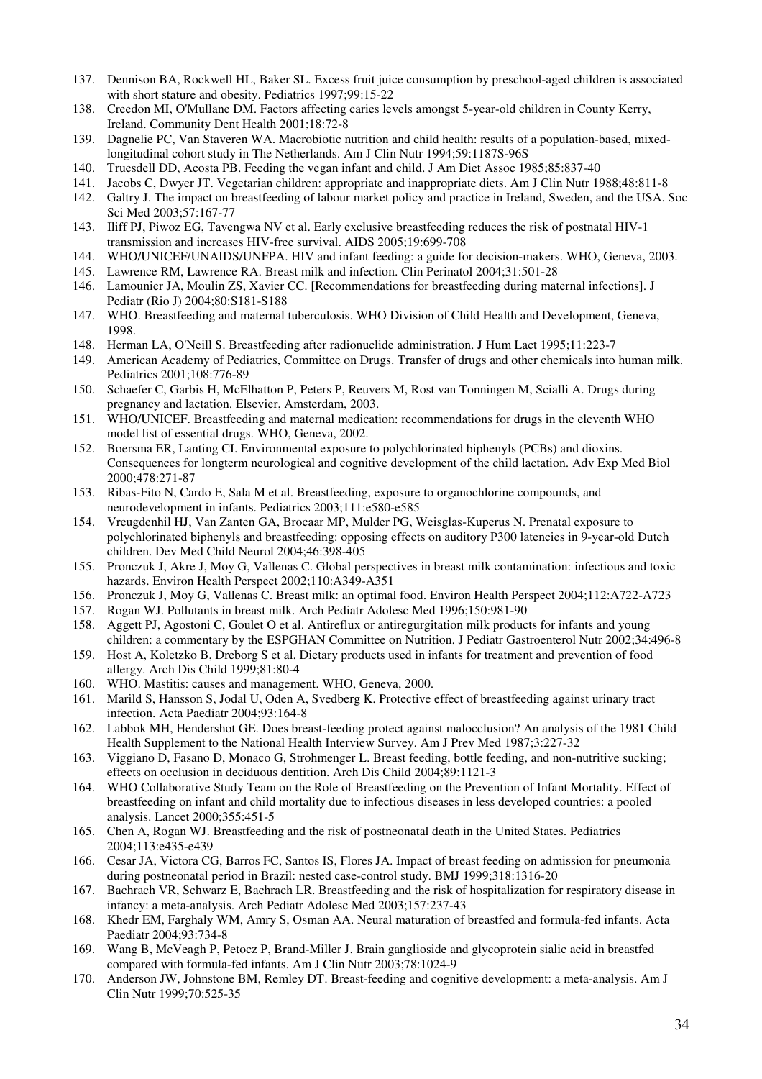- 137. Dennison BA, Rockwell HL, Baker SL. Excess fruit juice consumption by preschool-aged children is associated with short stature and obesity. Pediatrics 1997;99:15-22
- 138. Creedon MI, O'Mullane DM. Factors affecting caries levels amongst 5-year-old children in County Kerry, Ireland. Community Dent Health 2001;18:72-8
- 139. Dagnelie PC, Van Staveren WA. Macrobiotic nutrition and child health: results of a population-based, mixedlongitudinal cohort study in The Netherlands. Am J Clin Nutr 1994;59:1187S-96S
- 140. Truesdell DD, Acosta PB. Feeding the vegan infant and child. J Am Diet Assoc 1985;85:837-40
- 141. Jacobs C, Dwyer JT. Vegetarian children: appropriate and inappropriate diets. Am J Clin Nutr 1988;48:811-8
- 142. Galtry J. The impact on breastfeeding of labour market policy and practice in Ireland, Sweden, and the USA. Soc Sci Med 2003;57:167-77
- 143. Iliff PJ, Piwoz EG, Tavengwa NV et al. Early exclusive breastfeeding reduces the risk of postnatal HIV-1 transmission and increases HIV-free survival. AIDS 2005;19:699-708
- 144. WHO/UNICEF/UNAIDS/UNFPA. HIV and infant feeding: a guide for decision-makers. WHO, Geneva, 2003.
- 145. Lawrence RM, Lawrence RA. Breast milk and infection. Clin Perinatol 2004;31:501-28
- 146. Lamounier JA, Moulin ZS, Xavier CC. [Recommendations for breastfeeding during maternal infections]. J Pediatr (Rio J) 2004;80:S181-S188
- 147. WHO. Breastfeeding and maternal tuberculosis. WHO Division of Child Health and Development, Geneva, 1998.
- 148. Herman LA, O'Neill S. Breastfeeding after radionuclide administration. J Hum Lact 1995;11:223-7
- 149. American Academy of Pediatrics, Committee on Drugs. Transfer of drugs and other chemicals into human milk. Pediatrics 2001;108:776-89
- 150. Schaefer C, Garbis H, McElhatton P, Peters P, Reuvers M, Rost van Tonningen M, Scialli A. Drugs during pregnancy and lactation. Elsevier, Amsterdam, 2003.
- 151. WHO/UNICEF. Breastfeeding and maternal medication: recommendations for drugs in the eleventh WHO model list of essential drugs. WHO, Geneva, 2002.
- 152. Boersma ER, Lanting CI. Environmental exposure to polychlorinated biphenyls (PCBs) and dioxins. Consequences for longterm neurological and cognitive development of the child lactation. Adv Exp Med Biol 2000;478:271-87
- 153. Ribas-Fito N, Cardo E, Sala M et al. Breastfeeding, exposure to organochlorine compounds, and neurodevelopment in infants. Pediatrics 2003;111:e580-e585
- 154. Vreugdenhil HJ, Van Zanten GA, Brocaar MP, Mulder PG, Weisglas-Kuperus N. Prenatal exposure to polychlorinated biphenyls and breastfeeding: opposing effects on auditory P300 latencies in 9-year-old Dutch children. Dev Med Child Neurol 2004;46:398-405
- 155. Pronczuk J, Akre J, Moy G, Vallenas C. Global perspectives in breast milk contamination: infectious and toxic hazards. Environ Health Perspect 2002;110:A349-A351
- 156. Pronczuk J, Moy G, Vallenas C. Breast milk: an optimal food. Environ Health Perspect 2004;112:A722-A723
- 157. Rogan WJ. Pollutants in breast milk. Arch Pediatr Adolesc Med 1996;150:981-90
- 158. Aggett PJ, Agostoni C, Goulet O et al. Antireflux or antiregurgitation milk products for infants and young children: a commentary by the ESPGHAN Committee on Nutrition. J Pediatr Gastroenterol Nutr 2002;34:496-8
- 159. Host A, Koletzko B, Dreborg S et al. Dietary products used in infants for treatment and prevention of food allergy. Arch Dis Child 1999;81:80-4
- 160. WHO. Mastitis: causes and management. WHO, Geneva, 2000.
- 161. Marild S, Hansson S, Jodal U, Oden A, Svedberg K. Protective effect of breastfeeding against urinary tract infection. Acta Paediatr 2004;93:164-8
- 162. Labbok MH, Hendershot GE. Does breast-feeding protect against malocclusion? An analysis of the 1981 Child Health Supplement to the National Health Interview Survey. Am J Prev Med 1987;3:227-32
- 163. Viggiano D, Fasano D, Monaco G, Strohmenger L. Breast feeding, bottle feeding, and non-nutritive sucking; effects on occlusion in deciduous dentition. Arch Dis Child 2004;89:1121-3
- 164. WHO Collaborative Study Team on the Role of Breastfeeding on the Prevention of Infant Mortality. Effect of breastfeeding on infant and child mortality due to infectious diseases in less developed countries: a pooled analysis. Lancet 2000;355:451-5
- 165. Chen A, Rogan WJ. Breastfeeding and the risk of postneonatal death in the United States. Pediatrics 2004;113:e435-e439
- 166. Cesar JA, Victora CG, Barros FC, Santos IS, Flores JA. Impact of breast feeding on admission for pneumonia during postneonatal period in Brazil: nested case-control study. BMJ 1999;318:1316-20
- 167. Bachrach VR, Schwarz E, Bachrach LR. Breastfeeding and the risk of hospitalization for respiratory disease in infancy: a meta-analysis. Arch Pediatr Adolesc Med 2003;157:237-43
- 168. Khedr EM, Farghaly WM, Amry S, Osman AA. Neural maturation of breastfed and formula-fed infants. Acta Paediatr 2004;93:734-8
- 169. Wang B, McVeagh P, Petocz P, Brand-Miller J. Brain ganglioside and glycoprotein sialic acid in breastfed compared with formula-fed infants. Am J Clin Nutr 2003;78:1024-9
- 170. Anderson JW, Johnstone BM, Remley DT. Breast-feeding and cognitive development: a meta-analysis. Am J Clin Nutr 1999;70:525-35